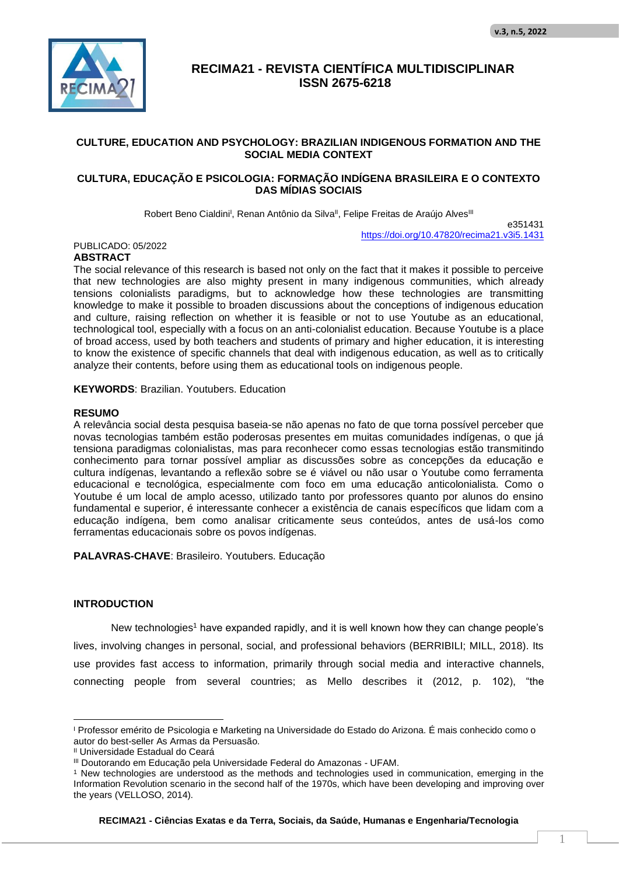

#### **CULTURE, EDUCATION AND PSYCHOLOGY: BRAZILIAN INDIGENOUS FORMATION AND THE SOCIAL MEDIA CONTEXT**

#### **CULTURA, EDUCAÇÃO E PSICOLOGIA: FORMAÇÃO INDÍGENA BRASILEIRA E O CONTEXTO DAS MÍDIAS SOCIAIS**

Robert Beno Cialdini<sup>i</sup>, Renan Antônio da Silva<sup>ii</sup>, Felipe Freitas de Araújo Alves<sup>iii</sup>

e351431 https://doi.org/10.47820/recima21.v3i5.1431

#### PUBLICADO: 05/2022 **ABSTRACT**

The social relevance of this research is based not only on the fact that it makes it possible to perceive that new technologies are also mighty present in many indigenous communities, which already tensions colonialists paradigms, but to acknowledge how these technologies are transmitting knowledge to make it possible to broaden discussions about the conceptions of indigenous education and culture, raising reflection on whether it is feasible or not to use Youtube as an educational, technological tool, especially with a focus on an anti-colonialist education. Because Youtube is a place of broad access, used by both teachers and students of primary and higher education, it is interesting to know the existence of specific channels that deal with indigenous education, as well as to critically analyze their contents, before using them as educational tools on indigenous people.

**KEYWORDS**: Brazilian. Youtubers. Education

#### **RESUMO**

A relevância social desta pesquisa baseia-se não apenas no fato de que torna possível perceber que novas tecnologias também estão poderosas presentes em muitas comunidades indígenas, o que já tensiona paradigmas colonialistas, mas para reconhecer como essas tecnologias estão transmitindo conhecimento para tornar possível ampliar as discussões sobre as concepções da educação e cultura indígenas, levantando a reflexão sobre se é viável ou não usar o Youtube como ferramenta educacional e tecnológica, especialmente com foco em uma educação anticolonialista. Como o Youtube é um local de amplo acesso, utilizado tanto por professores quanto por alunos do ensino fundamental e superior, é interessante conhecer a existência de canais específicos que lidam com a educação indígena, bem como analisar criticamente seus conteúdos, antes de usá-los como ferramentas educacionais sobre os povos indígenas.

**PALAVRAS-CHAVE**: Brasileiro. Youtubers. Educação

#### **INTRODUCTION**

New technologies<sup>1</sup> have expanded rapidly, and it is well known how they can change people's lives, involving changes in personal, social, and professional behaviors (BERRIBILI; MILL, 2018). Its use provides fast access to information, primarily through social media and interactive channels, connecting people from several countries; as Mello describes it (2012, p. 102), "the

<sup>I</sup> Professor emérito de Psicologia e Marketing na Universidade do Estado do Arizona. É mais conhecido como o autor do best-seller As Armas da Persuasão.

II Universidade Estadual do Ceará

III Doutorando em Educação pela Universidade Federal do Amazonas - UFAM.

<sup>1</sup> New technologies are understood as the methods and technologies used in communication, emerging in the Information Revolution scenario in the second half of the 1970s, which have been developing and improving over the years (VELLOSO, 2014).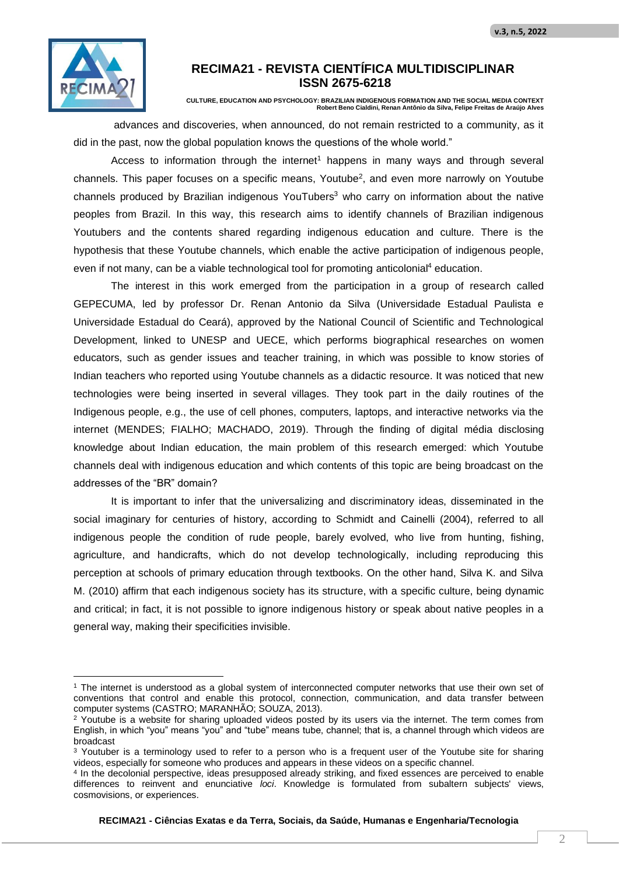

**CULTURE, EDUCATION AND PSYCHOLOGY: BRAZILIAN INDIGENOUS FORMATION AND THE SOCIAL MEDIA CONTEXT Robert Beno Cialdini, Renan Antônio da Silva, Felipe Freitas de Araújo Alves**

advances and discoveries, when announced, do not remain restricted to a community, as it did in the past, now the global population knows the questions of the whole world."

Access to information through the internet<sup>1</sup> happens in many ways and through several channels. This paper focuses on a specific means, Youtube<sup>2</sup>, and even more narrowly on Youtube channels produced by Brazilian indigenous YouTubers<sup>3</sup> who carry on information about the native peoples from Brazil. In this way, this research aims to identify channels of Brazilian indigenous Youtubers and the contents shared regarding indigenous education and culture. There is the hypothesis that these Youtube channels, which enable the active participation of indigenous people, even if not many, can be a viable technological tool for promoting anticolonial<sup>4</sup> education.

The interest in this work emerged from the participation in a group of research called GEPECUMA, led by professor Dr. Renan Antonio da Silva (Universidade Estadual Paulista e Universidade Estadual do Ceará), approved by the National Council of Scientific and Technological Development, linked to UNESP and UECE, which performs biographical researches on women educators, such as gender issues and teacher training, in which was possible to know stories of Indian teachers who reported using Youtube channels as a didactic resource. It was noticed that new technologies were being inserted in several villages. They took part in the daily routines of the Indigenous people, e.g., the use of cell phones, computers, laptops, and interactive networks via the internet (MENDES; FIALHO; MACHADO, 2019). Through the finding of digital média disclosing knowledge about Indian education, the main problem of this research emerged: which Youtube channels deal with indigenous education and which contents of this topic are being broadcast on the addresses of the "BR" domain?

It is important to infer that the universalizing and discriminatory ideas, disseminated in the social imaginary for centuries of history, according to Schmidt and Cainelli (2004), referred to all indigenous people the condition of rude people, barely evolved, who live from hunting, fishing, agriculture, and handicrafts, which do not develop technologically, including reproducing this perception at schools of primary education through textbooks. On the other hand, Silva K. and Silva M. (2010) affirm that each indigenous society has its structure, with a specific culture, being dynamic and critical; in fact, it is not possible to ignore indigenous history or speak about native peoples in a general way, making their specificities invisible.

<sup>1</sup> The internet is understood as a global system of interconnected computer networks that use their own set of conventions that control and enable this protocol, connection, communication, and data transfer between computer systems (CASTRO; MARANHÃO; SOUZA, 2013).

<sup>&</sup>lt;sup>2</sup> Youtube is a website for sharing uploaded videos posted by its users via the internet. The term comes from English, in which "you" means "you" and "tube" means tube, channel; that is, a channel through which videos are broadcast

<sup>&</sup>lt;sup>3</sup> Youtuber is a terminology used to refer to a person who is a frequent user of the Youtube site for sharing videos, especially for someone who produces and appears in these videos on a specific channel.

<sup>4</sup> In the decolonial perspective, ideas presupposed already striking, and fixed essences are perceived to enable differences to reinvent and enunciative *loci*. Knowledge is formulated from subaltern subjects' views, cosmovisions, or experiences.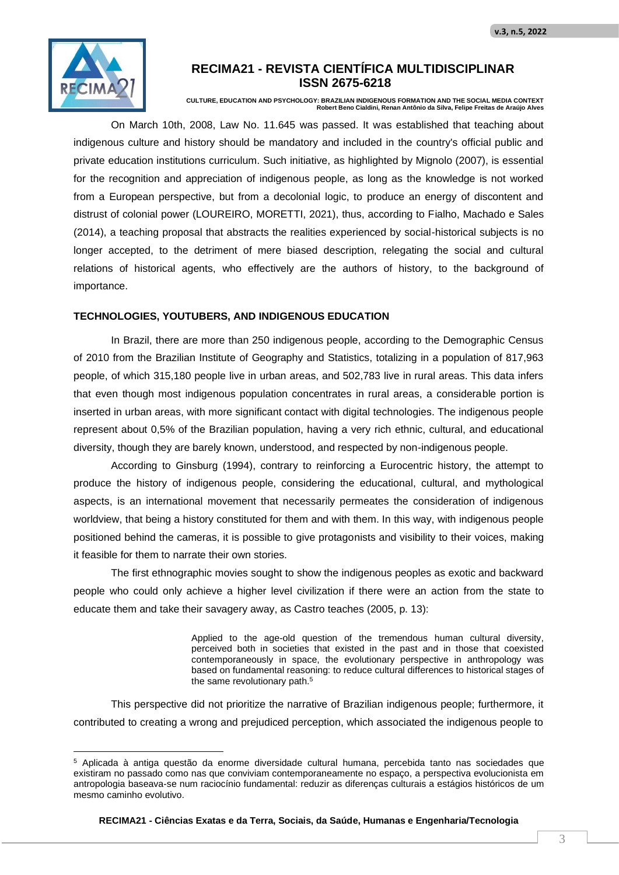

**CULTURE, EDUCATION AND PSYCHOLOGY: BRAZILIAN INDIGENOUS FORMATION AND THE SOCIAL MEDIA CONTEXT Robert Beno Cialdini, Renan Antônio da Silva, Felipe Freitas de Araújo Alves**

On March 10th, 2008, Law No. 11.645 was passed. It was established that teaching about indigenous culture and history should be mandatory and included in the country's official public and private education institutions curriculum. Such initiative, as highlighted by Mignolo (2007), is essential for the recognition and appreciation of indigenous people, as long as the knowledge is not worked from a European perspective, but from a decolonial logic, to produce an energy of discontent and distrust of colonial power (LOUREIRO, MORETTI, 2021), thus, according to Fialho, Machado e Sales (2014), a teaching proposal that abstracts the realities experienced by social-historical subjects is no longer accepted, to the detriment of mere biased description, relegating the social and cultural relations of historical agents, who effectively are the authors of history, to the background of importance.

#### **TECHNOLOGIES, YOUTUBERS, AND INDIGENOUS EDUCATION**

In Brazil, there are more than 250 indigenous people, according to the Demographic Census of 2010 from the Brazilian Institute of Geography and Statistics, totalizing in a population of 817,963 people, of which 315,180 people live in urban areas, and 502,783 live in rural areas. This data infers that even though most indigenous population concentrates in rural areas, a considerable portion is inserted in urban areas, with more significant contact with digital technologies. The indigenous people represent about 0,5% of the Brazilian population, having a very rich ethnic, cultural, and educational diversity, though they are barely known, understood, and respected by non-indigenous people.

According to Ginsburg (1994), contrary to reinforcing a Eurocentric history, the attempt to produce the history of indigenous people, considering the educational, cultural, and mythological aspects, is an international movement that necessarily permeates the consideration of indigenous worldview, that being a history constituted for them and with them. In this way, with indigenous people positioned behind the cameras, it is possible to give protagonists and visibility to their voices, making it feasible for them to narrate their own stories.

The first ethnographic movies sought to show the indigenous peoples as exotic and backward people who could only achieve a higher level civilization if there were an action from the state to educate them and take their savagery away, as Castro teaches (2005, p. 13):

> Applied to the age-old question of the tremendous human cultural diversity, perceived both in societies that existed in the past and in those that coexisted contemporaneously in space, the evolutionary perspective in anthropology was based on fundamental reasoning: to reduce cultural differences to historical stages of the same revolutionary path.<sup>5</sup>

This perspective did not prioritize the narrative of Brazilian indigenous people; furthermore, it contributed to creating a wrong and prejudiced perception, which associated the indigenous people to

<sup>5</sup> Aplicada à antiga questão da enorme diversidade cultural humana, percebida tanto nas sociedades que existiram no passado como nas que conviviam contemporaneamente no espaço, a perspectiva evolucionista em antropologia baseava-se num raciocínio fundamental: reduzir as diferenças culturais a estágios históricos de um mesmo caminho evolutivo.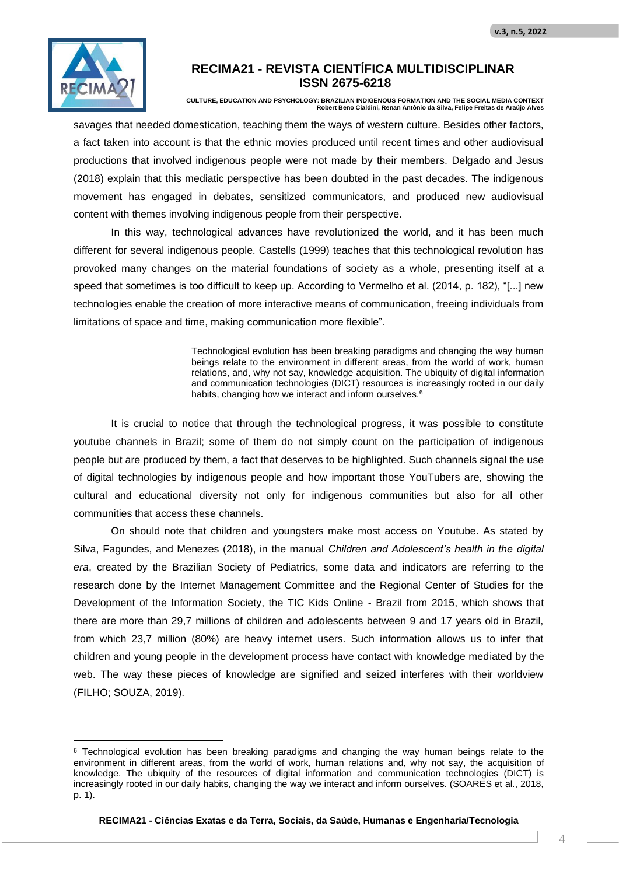

**CULTURE, EDUCATION AND PSYCHOLOGY: BRAZILIAN INDIGENOUS FORMATION AND THE SOCIAL MEDIA CONTEXT Robert Beno Cialdini, Renan Antônio da Silva, Felipe Freitas de Araújo Alves**

savages that needed domestication, teaching them the ways of western culture. Besides other factors, a fact taken into account is that the ethnic movies produced until recent times and other audiovisual productions that involved indigenous people were not made by their members. Delgado and Jesus (2018) explain that this mediatic perspective has been doubted in the past decades. The indigenous movement has engaged in debates, sensitized communicators, and produced new audiovisual content with themes involving indigenous people from their perspective.

In this way, technological advances have revolutionized the world, and it has been much different for several indigenous people. Castells (1999) teaches that this technological revolution has provoked many changes on the material foundations of society as a whole, presenting itself at a speed that sometimes is too difficult to keep up. According to Vermelho et al. (2014, p. 182), "[...] new technologies enable the creation of more interactive means of communication, freeing individuals from limitations of space and time, making communication more flexible".

> Technological evolution has been breaking paradigms and changing the way human beings relate to the environment in different areas, from the world of work, human relations, and, why not say, knowledge acquisition. The ubiquity of digital information and communication technologies (DICT) resources is increasingly rooted in our daily habits, changing how we interact and inform ourselves.<sup>6</sup>

It is crucial to notice that through the technological progress, it was possible to constitute youtube channels in Brazil; some of them do not simply count on the participation of indigenous people but are produced by them, a fact that deserves to be highlighted. Such channels signal the use of digital technologies by indigenous people and how important those YouTubers are, showing the cultural and educational diversity not only for indigenous communities but also for all other communities that access these channels.

On should note that children and youngsters make most access on Youtube. As stated by Silva, Fagundes, and Menezes (2018), in the manual *Children and Adolescent's health in the digital era*, created by the Brazilian Society of Pediatrics, some data and indicators are referring to the research done by the Internet Management Committee and the Regional Center of Studies for the Development of the Information Society, the TIC Kids Online - Brazil from 2015, which shows that there are more than 29,7 millions of children and adolescents between 9 and 17 years old in Brazil, from which 23,7 million (80%) are heavy internet users. Such information allows us to infer that children and young people in the development process have contact with knowledge mediated by the web. The way these pieces of knowledge are signified and seized interferes with their worldview (FILHO; SOUZA, 2019).

<sup>6</sup> Technological evolution has been breaking paradigms and changing the way human beings relate to the environment in different areas, from the world of work, human relations and, why not say, the acquisition of knowledge. The ubiquity of the resources of digital information and communication technologies (DICT) is increasingly rooted in our daily habits, changing the way we interact and inform ourselves. (SOARES et al., 2018, p. 1).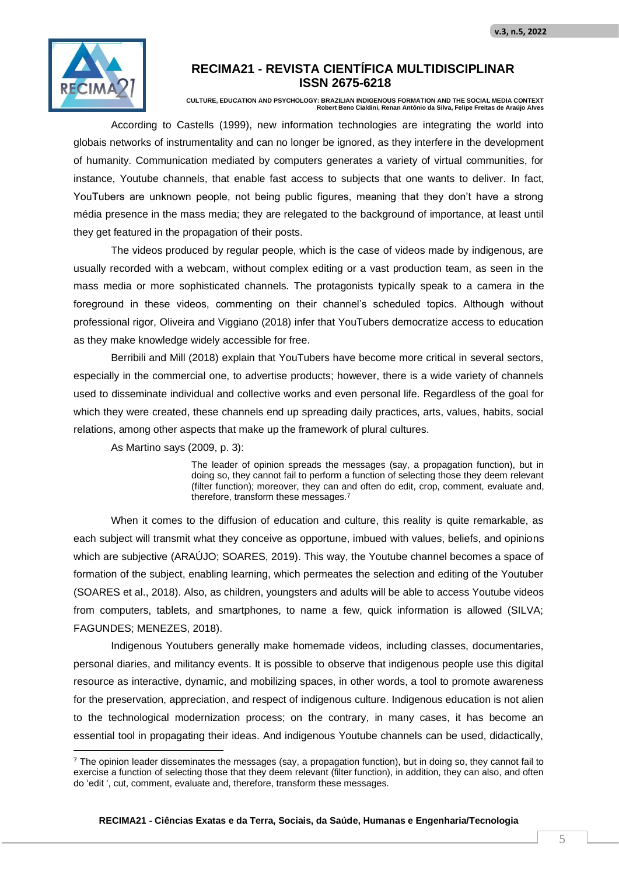

**CULTURE, EDUCATION AND PSYCHOLOGY: BRAZILIAN INDIGENOUS FORMATION AND THE SOCIAL MEDIA CONTEXT Robert Beno Cialdini, Renan Antônio da Silva, Felipe Freitas de Araújo Alves**

According to Castells (1999), new information technologies are integrating the world into globais networks of instrumentality and can no longer be ignored, as they interfere in the development of humanity. Communication mediated by computers generates a variety of virtual communities, for instance, Youtube channels, that enable fast access to subjects that one wants to deliver. In fact, YouTubers are unknown people, not being public figures, meaning that they don't have a strong média presence in the mass media; they are relegated to the background of importance, at least until they get featured in the propagation of their posts.

The videos produced by regular people, which is the case of videos made by indigenous, are usually recorded with a webcam, without complex editing or a vast production team, as seen in the mass media or more sophisticated channels. The protagonists typically speak to a camera in the foreground in these videos, commenting on their channel's scheduled topics. Although without professional rigor, Oliveira and Viggiano (2018) infer that YouTubers democratize access to education as they make knowledge widely accessible for free.

Berribili and Mill (2018) explain that YouTubers have become more critical in several sectors, especially in the commercial one, to advertise products; however, there is a wide variety of channels used to disseminate individual and collective works and even personal life. Regardless of the goal for which they were created, these channels end up spreading daily practices, arts, values, habits, social relations, among other aspects that make up the framework of plural cultures.

As Martino says (2009, p. 3):

The leader of opinion spreads the messages (say, a propagation function), but in doing so, they cannot fail to perform a function of selecting those they deem relevant (filter function); moreover, they can and often do edit, crop, comment, evaluate and, therefore, transform these messages.<sup>7</sup>

When it comes to the diffusion of education and culture, this reality is quite remarkable, as each subject will transmit what they conceive as opportune, imbued with values, beliefs, and opinions which are subjective (ARAÚJO; SOARES, 2019). This way, the Youtube channel becomes a space of formation of the subject, enabling learning, which permeates the selection and editing of the Youtuber (SOARES et al., 2018). Also, as children, youngsters and adults will be able to access Youtube videos from computers, tablets, and smartphones, to name a few, quick information is allowed (SILVA; FAGUNDES; MENEZES, 2018).

Indigenous Youtubers generally make homemade videos, including classes, documentaries, personal diaries, and militancy events. It is possible to observe that indigenous people use this digital resource as interactive, dynamic, and mobilizing spaces, in other words, a tool to promote awareness for the preservation, appreciation, and respect of indigenous culture. Indigenous education is not alien to the technological modernization process; on the contrary, in many cases, it has become an essential tool in propagating their ideas. And indigenous Youtube channels can be used, didactically,

<sup>7</sup> The opinion leader disseminates the messages (say, a propagation function), but in doing so, they cannot fail to exercise a function of selecting those that they deem relevant (filter function), in addition, they can also, and often do 'edit ', cut, comment, evaluate and, therefore, transform these messages.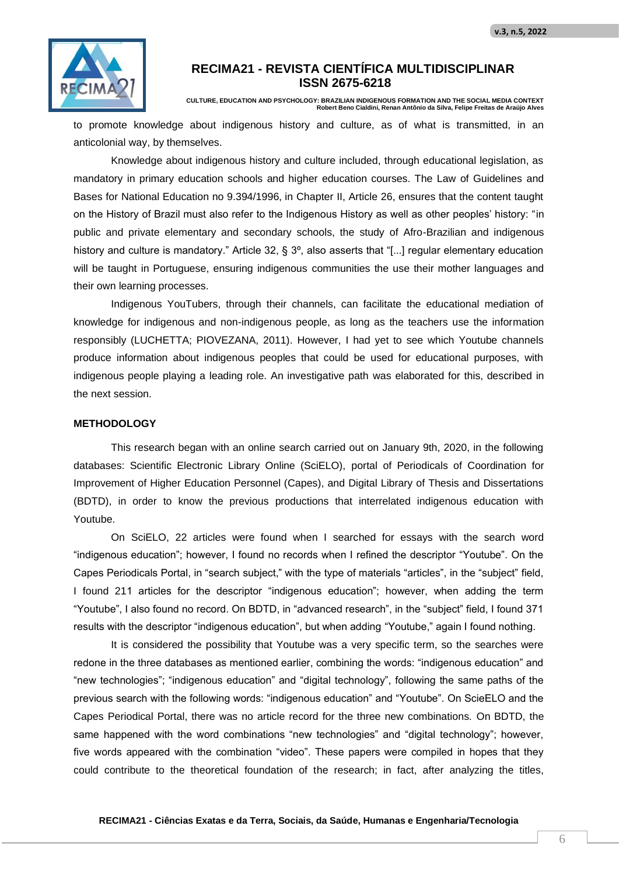

**CULTURE, EDUCATION AND PSYCHOLOGY: BRAZILIAN INDIGENOUS FORMATION AND THE SOCIAL MEDIA CONTEXT Robert Beno Cialdini, Renan Antônio da Silva, Felipe Freitas de Araújo Alves**

to promote knowledge about indigenous history and culture, as of what is transmitted, in an anticolonial way, by themselves.

Knowledge about indigenous history and culture included, through educational legislation, as mandatory in primary education schools and higher education courses. The Law of Guidelines and Bases for National Education no 9.394/1996, in Chapter II, Article 26, ensures that the content taught on the History of Brazil must also refer to the Indigenous History as well as other peoples' history: "in public and private elementary and secondary schools, the study of Afro-Brazilian and indigenous history and culture is mandatory." Article 32, § 3<sup>o</sup>, also asserts that "[...] regular elementary education will be taught in Portuguese, ensuring indigenous communities the use their mother languages and their own learning processes.

Indigenous YouTubers, through their channels, can facilitate the educational mediation of knowledge for indigenous and non-indigenous people, as long as the teachers use the information responsibly (LUCHETTA; PIOVEZANA, 2011). However, I had yet to see which Youtube channels produce information about indigenous peoples that could be used for educational purposes, with indigenous people playing a leading role. An investigative path was elaborated for this, described in the next session.

#### **METHODOLOGY**

This research began with an online search carried out on January 9th, 2020, in the following databases: Scientific Electronic Library Online (SciELO), portal of Periodicals of Coordination for Improvement of Higher Education Personnel (Capes), and Digital Library of Thesis and Dissertations (BDTD), in order to know the previous productions that interrelated indigenous education with Youtube.

On SciELO, 22 articles were found when I searched for essays with the search word "indigenous education"; however, I found no records when I refined the descriptor "Youtube". On the Capes Periodicals Portal, in "search subject," with the type of materials "articles", in the "subject" field, I found 211 articles for the descriptor "indigenous education"; however, when adding the term "Youtube", I also found no record. On BDTD, in "advanced research", in the "subject" field, I found 371 results with the descriptor "indigenous education", but when adding "Youtube," again I found nothing.

It is considered the possibility that Youtube was a very specific term, so the searches were redone in the three databases as mentioned earlier, combining the words: "indigenous education" and "new technologies"; "indigenous education" and "digital technology", following the same paths of the previous search with the following words: "indigenous education" and "Youtube". On ScieELO and the Capes Periodical Portal, there was no article record for the three new combinations. On BDTD, the same happened with the word combinations "new technologies" and "digital technology"; however, five words appeared with the combination "video". These papers were compiled in hopes that they could contribute to the theoretical foundation of the research; in fact, after analyzing the titles,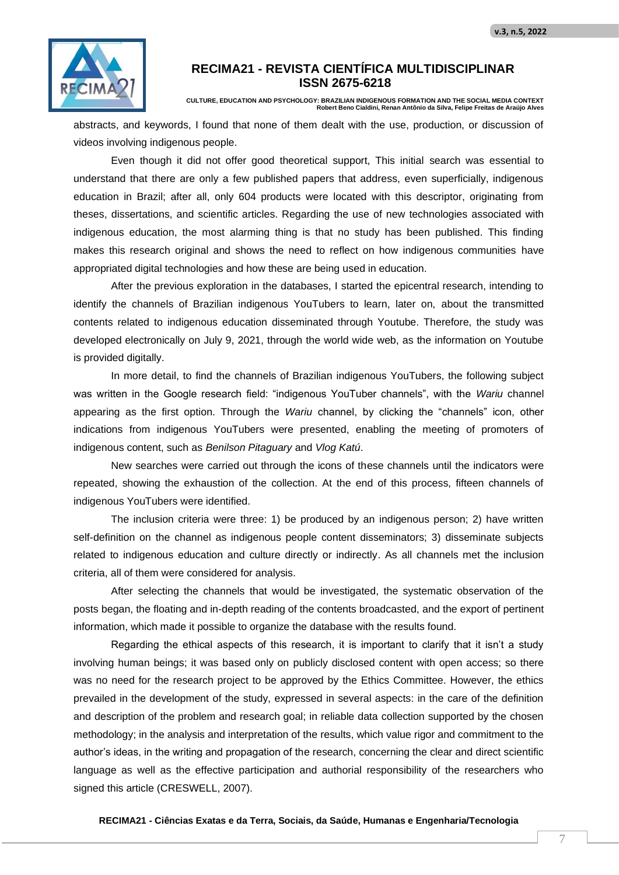

**CULTURE, EDUCATION AND PSYCHOLOGY: BRAZILIAN INDIGENOUS FORMATION AND THE SOCIAL MEDIA CONTEXT Robert Beno Cialdini, Renan Antônio da Silva, Felipe Freitas de Araújo Alves**

abstracts, and keywords, I found that none of them dealt with the use, production, or discussion of videos involving indigenous people.

Even though it did not offer good theoretical support, This initial search was essential to understand that there are only a few published papers that address, even superficially, indigenous education in Brazil; after all, only 604 products were located with this descriptor, originating from theses, dissertations, and scientific articles. Regarding the use of new technologies associated with indigenous education, the most alarming thing is that no study has been published. This finding makes this research original and shows the need to reflect on how indigenous communities have appropriated digital technologies and how these are being used in education.

After the previous exploration in the databases, I started the epicentral research, intending to identify the channels of Brazilian indigenous YouTubers to learn, later on, about the transmitted contents related to indigenous education disseminated through Youtube. Therefore, the study was developed electronically on July 9, 2021, through the world wide web, as the information on Youtube is provided digitally.

In more detail, to find the channels of Brazilian indigenous YouTubers, the following subject was written in the Google research field: "indigenous YouTuber channels", with the *Wariu* channel appearing as the first option. Through the *Wariu* channel, by clicking the "channels" icon, other indications from indigenous YouTubers were presented, enabling the meeting of promoters of indigenous content, such as *Benilson Pitaguary* and *Vlog Katú*.

New searches were carried out through the icons of these channels until the indicators were repeated, showing the exhaustion of the collection. At the end of this process, fifteen channels of indigenous YouTubers were identified.

The inclusion criteria were three: 1) be produced by an indigenous person; 2) have written self-definition on the channel as indigenous people content disseminators; 3) disseminate subjects related to indigenous education and culture directly or indirectly. As all channels met the inclusion criteria, all of them were considered for analysis.

After selecting the channels that would be investigated, the systematic observation of the posts began, the floating and in-depth reading of the contents broadcasted, and the export of pertinent information, which made it possible to organize the database with the results found.

Regarding the ethical aspects of this research, it is important to clarify that it isn't a study involving human beings; it was based only on publicly disclosed content with open access; so there was no need for the research project to be approved by the Ethics Committee. However, the ethics prevailed in the development of the study, expressed in several aspects: in the care of the definition and description of the problem and research goal; in reliable data collection supported by the chosen methodology; in the analysis and interpretation of the results, which value rigor and commitment to the author's ideas, in the writing and propagation of the research, concerning the clear and direct scientific language as well as the effective participation and authorial responsibility of the researchers who signed this article (CRESWELL, 2007).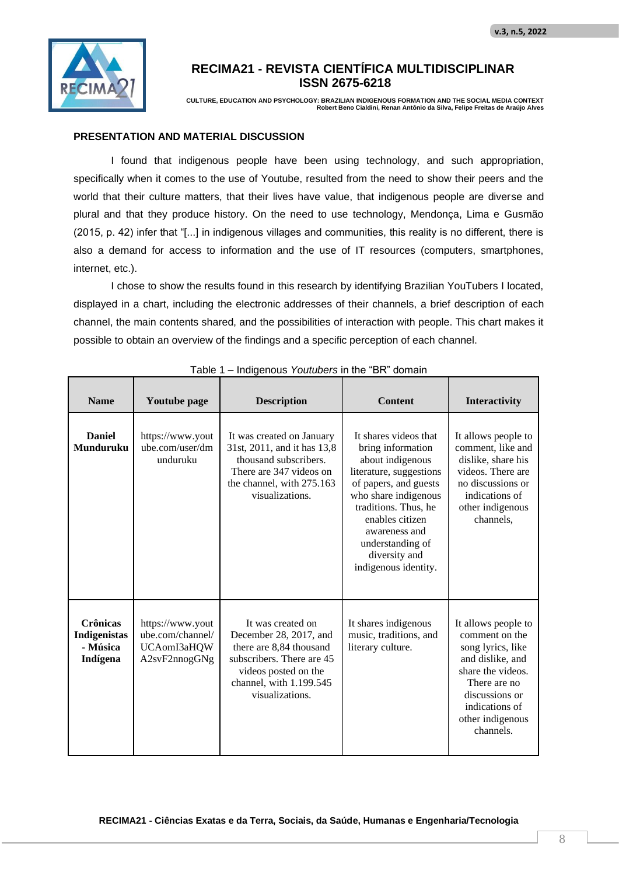

**CULTURE, EDUCATION AND PSYCHOLOGY: BRAZILIAN INDIGENOUS FORMATION AND THE SOCIAL MEDIA CONTEXT Robert Beno Cialdini, Renan Antônio da Silva, Felipe Freitas de Araújo Alves**

#### **PRESENTATION AND MATERIAL DISCUSSION**

I found that indigenous people have been using technology, and such appropriation, specifically when it comes to the use of Youtube, resulted from the need to show their peers and the world that their culture matters, that their lives have value, that indigenous people are diverse and plural and that they produce history. On the need to use technology, Mendonça, Lima e Gusmão (2015, p. 42) infer that "[...] in indigenous villages and communities, this reality is no different, there is also a demand for access to information and the use of IT resources (computers, smartphones, internet, etc.).

I chose to show the results found in this research by identifying Brazilian YouTubers I located, displayed in a chart, including the electronic addresses of their channels, a brief description of each channel, the main contents shared, and the possibilities of interaction with people. This chart makes it possible to obtain an overview of the findings and a specific perception of each channel.

| <b>Name</b>                                             | Youtube page                                                         | <b>Description</b>                                                                                                                                                        | <b>Content</b>                                                                                                                                                                                                                                                      | Interactivity                                                                                                                                                                            |
|---------------------------------------------------------|----------------------------------------------------------------------|---------------------------------------------------------------------------------------------------------------------------------------------------------------------------|---------------------------------------------------------------------------------------------------------------------------------------------------------------------------------------------------------------------------------------------------------------------|------------------------------------------------------------------------------------------------------------------------------------------------------------------------------------------|
| <b>Daniel</b><br><b>Munduruku</b>                       | https://www.yout<br>ube.com/user/dm<br>unduruku                      | It was created on January<br>31st, 2011, and it has 13,8<br>thousand subscribers.<br>There are 347 videos on<br>the channel, with 275.163<br>visualizations.              | It shares videos that<br>bring information<br>about indigenous<br>literature, suggestions<br>of papers, and guests<br>who share indigenous<br>traditions. Thus, he<br>enables citizen<br>awareness and<br>understanding of<br>diversity and<br>indigenous identity. | It allows people to<br>comment, like and<br>dislike, share his<br>videos. There are<br>no discussions or<br>indications of<br>other indigenous<br>channels,                              |
| <b>Crônicas</b><br>Indigenistas<br>- Música<br>Indígena | https://www.yout<br>ube.com/channel/<br>UCAomI3aHQW<br>A2svF2nnogGNg | It was created on<br>December 28, 2017, and<br>there are 8,84 thousand<br>subscribers. There are 45<br>videos posted on the<br>channel, with 1.199.545<br>visualizations. | It shares indigenous<br>music, traditions, and<br>literary culture.                                                                                                                                                                                                 | It allows people to<br>comment on the<br>song lyrics, like<br>and dislike, and<br>share the videos.<br>There are no<br>discussions or<br>indications of<br>other indigenous<br>channels. |

Table 1 – Indigenous *Youtubers* in the "BR" domain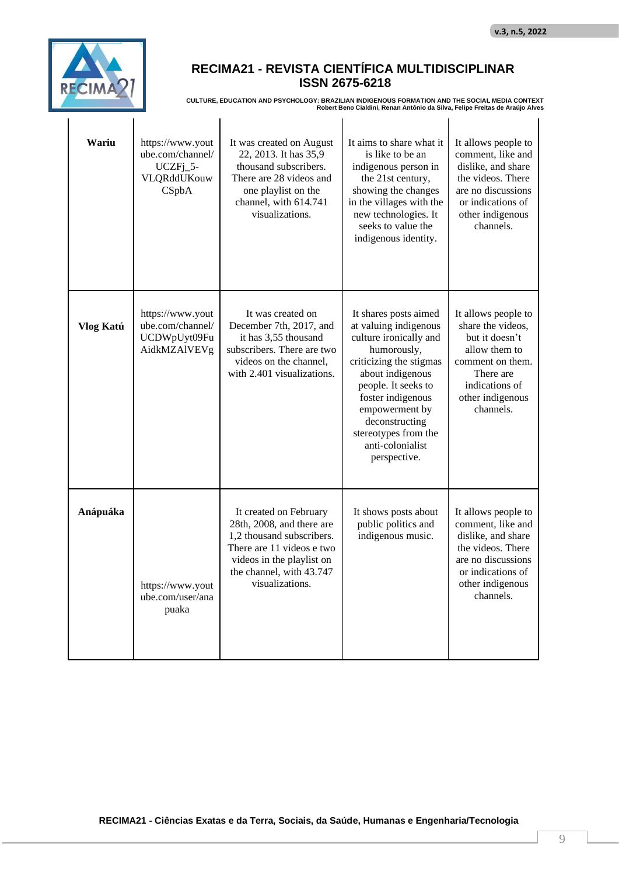

# **RECIMA21 - REVISTA CIENTÍFICA MULTIDISCIPLINAR ISSN 2675-6218**

**CULTURE, EDUCATION AND PSYCHOLOGY: BRAZILIAN INDIGENOUS FORMATION AND THE SOCIAL MEDIA CONTEXT Robert Beno Cialdini, Renan Antônio da Silva, Felipe Freitas de Araújo Alves**

| Wariu     | https://www.yout<br>ube.com/channel/<br>$UCZFj_5-$<br>VLQRddUKouw<br>CSpbA | It was created on August<br>22, 2013. It has 35,9<br>thousand subscribers.<br>There are 28 videos and<br>one playlist on the<br>channel, with 614.741<br>visualizations.                  | It aims to share what it<br>is like to be an<br>indigenous person in<br>the 21st century,<br>showing the changes<br>in the villages with the<br>new technologies. It<br>seeks to value the<br>indigenous identity.                                                                 | It allows people to<br>comment, like and<br>dislike, and share<br>the videos. There<br>are no discussions<br>or indications of<br>other indigenous<br>channels. |
|-----------|----------------------------------------------------------------------------|-------------------------------------------------------------------------------------------------------------------------------------------------------------------------------------------|------------------------------------------------------------------------------------------------------------------------------------------------------------------------------------------------------------------------------------------------------------------------------------|-----------------------------------------------------------------------------------------------------------------------------------------------------------------|
| Vlog Katú | https://www.yout<br>ube.com/channel/<br>UCDWpUyt09Fu<br>AidkMZAIVEVg       | It was created on<br>December 7th, 2017, and<br>it has 3,55 thousand<br>subscribers. There are two<br>videos on the channel.<br>with 2.401 visualizations.                                | It shares posts aimed<br>at valuing indigenous<br>culture ironically and<br>humorously,<br>criticizing the stigmas<br>about indigenous<br>people. It seeks to<br>foster indigenous<br>empowerment by<br>deconstructing<br>stereotypes from the<br>anti-colonialist<br>perspective. | It allows people to<br>share the videos,<br>but it doesn't<br>allow them to<br>comment on them.<br>There are<br>indications of<br>other indigenous<br>channels. |
| Anápuáka  | https://www.yout<br>ube.com/user/ana<br>puaka                              | It created on February<br>28th, 2008, and there are<br>1,2 thousand subscribers.<br>There are 11 videos e two<br>videos in the playlist on<br>the channel, with 43.747<br>visualizations. | It shows posts about<br>public politics and<br>indigenous music.                                                                                                                                                                                                                   | It allows people to<br>comment, like and<br>dislike, and share<br>the videos. There<br>are no discussions<br>or indications of<br>other indigenous<br>channels. |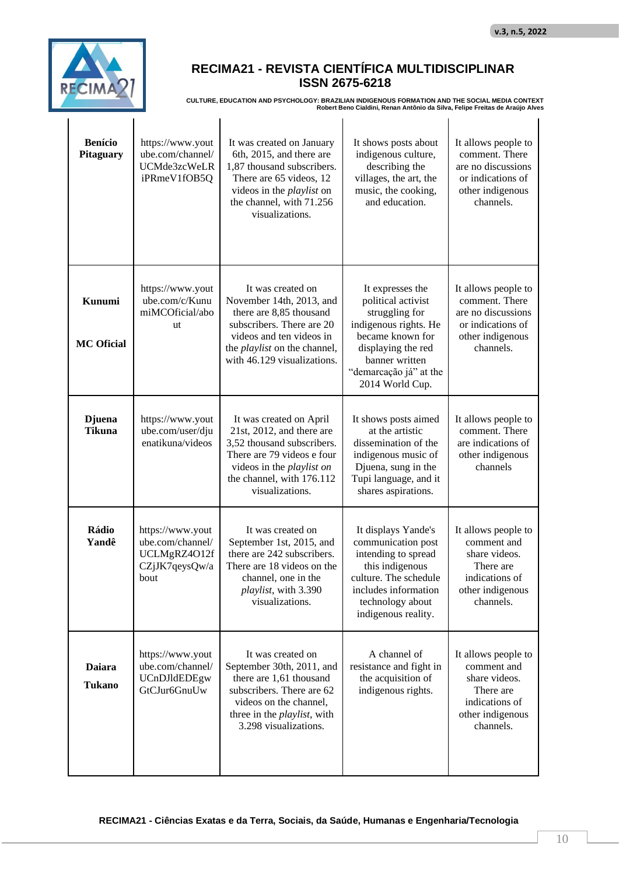

## **RECIMA21 - REVISTA CIENTÍFICA MULTIDISCIPLINAR ISSN 2675-6218**

**CULTURE, EDUCATION AND PSYCHOLOGY: BRAZILIAN INDIGENOUS FORMATION AND THE SOCIAL MEDIA CONTEXT Robert Beno Cialdini, Renan Antônio da Silva, Felipe Freitas de Araújo Alves**

| <b>Benício</b><br><b>Pitaguary</b> | https://www.yout<br>ube.com/channel/<br>UCMde3zcWeLR<br>iPRmeV1fOB5Q           | It was created on January<br>6th, 2015, and there are<br>1,87 thousand subscribers.<br>There are 65 videos, 12<br>videos in the <i>playlist</i> on<br>the channel, with 71.256<br>visualizations.       | It shows posts about<br>indigenous culture,<br>describing the<br>villages, the art, the<br>music, the cooking,<br>and education.                                                           | It allows people to<br>comment. There<br>are no discussions<br>or indications of<br>other indigenous<br>channels.   |
|------------------------------------|--------------------------------------------------------------------------------|---------------------------------------------------------------------------------------------------------------------------------------------------------------------------------------------------------|--------------------------------------------------------------------------------------------------------------------------------------------------------------------------------------------|---------------------------------------------------------------------------------------------------------------------|
| Kunumi<br><b>MC Oficial</b>        | https://www.yout<br>ube.com/c/Kunu<br>miMCOficial/abo<br>ut                    | It was created on<br>November 14th, 2013, and<br>there are 8,85 thousand<br>subscribers. There are 20<br>videos and ten videos in<br>the <i>playlist</i> on the channel,<br>with 46.129 visualizations. | It expresses the<br>political activist<br>struggling for<br>indigenous rights. He<br>became known for<br>displaying the red<br>banner written<br>"demarcação já" at the<br>2014 World Cup. | It allows people to<br>comment. There<br>are no discussions<br>or indications of<br>other indigenous<br>channels.   |
| <b>D</b> juena<br><b>Tikuna</b>    | https://www.yout<br>ube.com/user/dju<br>enatikuna/videos                       | It was created on April<br>21st, 2012, and there are<br>3,52 thousand subscribers.<br>There are 79 videos e four<br>videos in the <i>playlist on</i><br>the channel, with 176.112<br>visualizations.    | It shows posts aimed<br>at the artistic<br>dissemination of the<br>indigenous music of<br>Djuena, sung in the<br>Tupi language, and it<br>shares aspirations.                              | It allows people to<br>comment. There<br>are indications of<br>other indigenous<br>channels                         |
| Rádio<br>Yandê                     | https://www.yout<br>ube.com/channel/<br>UCLMgRZ4O12f<br>CZjJK7qeysQw/a<br>bout | It was created on<br>September 1st, 2015, and<br>there are 242 subscribers.<br>There are 18 videos on the<br>channel, one in the<br>playlist, with 3.390<br>visualizations.                             | It displays Yande's<br>communication post<br>intending to spread<br>this indigenous<br>culture. The schedule<br>includes information<br>technology about<br>indigenous reality.            | It allows people to<br>comment and<br>share videos.<br>There are<br>indications of<br>other indigenous<br>channels. |
| <b>Daiara</b><br><b>Tukano</b>     | https://www.yout<br>ube.com/channel/<br>UCnDJldEDEgw<br>GtCJur6GnuUw           | It was created on<br>September 30th, 2011, and<br>there are 1,61 thousand<br>subscribers. There are 62<br>videos on the channel,<br>three in the <i>playlist</i> , with<br>3.298 visualizations.        | A channel of<br>resistance and fight in<br>the acquisition of<br>indigenous rights.                                                                                                        | It allows people to<br>comment and<br>share videos.<br>There are<br>indications of<br>other indigenous<br>channels. |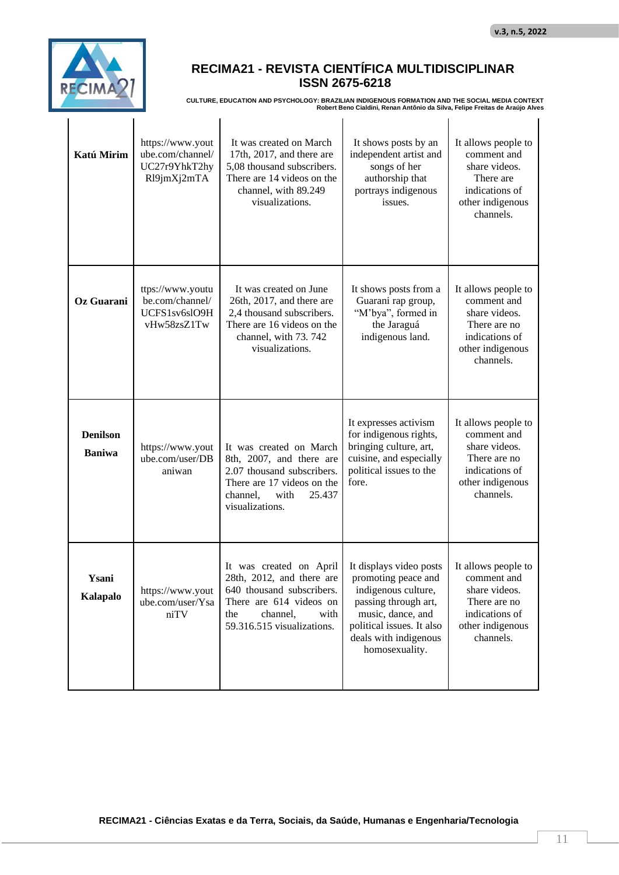

 $\mathbf{I}$ 

# **RECIMA21 - REVISTA CIENTÍFICA MULTIDISCIPLINAR ISSN 2675-6218**

**CULTURE, EDUCATION AND PSYCHOLOGY: BRAZILIAN INDIGENOUS FORMATION AND THE SOCIAL MEDIA CONTEXT Robert Beno Cialdini, Renan Antônio da Silva, Felipe Freitas de Araújo Alves**

| Katú Mirim                       | https://www.yout<br>ube.com/channel/<br>UC27r9YhkT2hy<br>Rl9jmXj2mTA | It was created on March<br>17th, 2017, and there are<br>5,08 thousand subscribers.<br>There are 14 videos on the<br>channel, with 89.249<br>visualizations.           | It shows posts by an<br>independent artist and<br>songs of her<br>authorship that<br>portrays indigenous<br>issues.                                                                        | It allows people to<br>comment and<br>share videos.<br>There are<br>indications of<br>other indigenous<br>channels.    |
|----------------------------------|----------------------------------------------------------------------|-----------------------------------------------------------------------------------------------------------------------------------------------------------------------|--------------------------------------------------------------------------------------------------------------------------------------------------------------------------------------------|------------------------------------------------------------------------------------------------------------------------|
| Oz Guarani                       | ttps://www.youtu<br>be.com/channel/<br>UCFS1sv6slO9H<br>vHw58zsZ1Tw  | It was created on June<br>26th, 2017, and there are<br>2,4 thousand subscribers.<br>There are 16 videos on the<br>channel, with 73.742<br>visualizations.             | It shows posts from a<br>Guarani rap group,<br>"M'bya", formed in<br>the Jaraguá<br>indigenous land.                                                                                       | It allows people to<br>comment and<br>share videos.<br>There are no<br>indications of<br>other indigenous<br>channels. |
| <b>Denilson</b><br><b>Baniwa</b> | https://www.yout<br>ube.com/user/DB<br>aniwan                        | It was created on March<br>8th, 2007, and there are<br>2.07 thousand subscribers.<br>There are 17 videos on the<br>with<br>25.437<br>channel,<br>visualizations.      | It expresses activism<br>for indigenous rights,<br>bringing culture, art,<br>cuisine, and especially<br>political issues to the<br>fore.                                                   | It allows people to<br>comment and<br>share videos.<br>There are no<br>indications of<br>other indigenous<br>channels. |
| Ysani<br>Kalapalo                | https://www.yout<br>ube.com/user/Ysa<br>niTV                         | It was created on April<br>28th, 2012, and there are<br>640 thousand subscribers.<br>There are 614 videos on<br>the<br>channel,<br>with<br>59.316.515 visualizations. | It displays video posts<br>promoting peace and<br>indigenous culture,<br>passing through art,<br>music, dance, and<br>political issues. It also<br>deals with indigenous<br>homosexuality. | It allows people to<br>comment and<br>share videos.<br>There are no<br>indications of<br>other indigenous<br>channels. |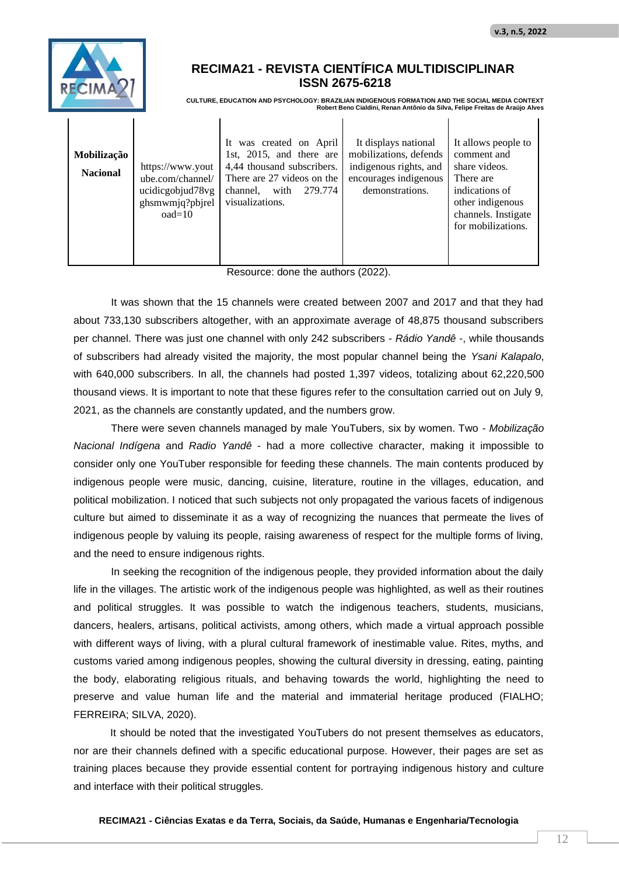

 $\mathbf{I}$ 

**CULTURE, EDUCATION AND PSYCHOLOGY: BRAZILIAN INDIGENOUS FORMATION AND THE SOCIAL MEDIA CONTEXT Robert Beno Cialdini, Renan Antônio da Silva, Felipe Freitas de Araújo Alves**

 $\mathbf{I}$ 

| Mobilização<br><b>Nacional</b> | https://www.yout<br>ube.com/channel/<br>ucidicgobjud78vg<br>ghsmwmjq?pbjrel | It was created on April<br>1st, 2015, and there are<br>4,44 thousand subscribers.<br>There are 27 videos on the<br>279.774<br>with<br>channel,<br>visualizations. | It displays national<br>mobilizations, defends<br>indigenous rights, and<br>encourages indigenous<br>demonstrations. | It allows people to<br>comment and<br>share videos.<br>There are<br>indications of<br>other indigenous |
|--------------------------------|-----------------------------------------------------------------------------|-------------------------------------------------------------------------------------------------------------------------------------------------------------------|----------------------------------------------------------------------------------------------------------------------|--------------------------------------------------------------------------------------------------------|
|                                | $oad=10$                                                                    |                                                                                                                                                                   |                                                                                                                      | channels. Instigate<br>for mobilizations.                                                              |

 $\blacksquare$ 

Resource: done the authors (2022).

It was shown that the 15 channels were created between 2007 and 2017 and that they had about 733,130 subscribers altogether, with an approximate average of 48,875 thousand subscribers per channel. There was just one channel with only 242 subscribers - *Rádio Yandê* -, while thousands of subscribers had already visited the majority, the most popular channel being the *Ysani Kalapalo*, with 640,000 subscribers. In all, the channels had posted 1,397 videos, totalizing about 62,220,500 thousand views. It is important to note that these figures refer to the consultation carried out on July 9, 2021, as the channels are constantly updated, and the numbers grow.

There were seven channels managed by male YouTubers, six by women. Two - *Mobilização Nacional Indígena* and *Radio Yandê* - had a more collective character, making it impossible to consider only one YouTuber responsible for feeding these channels. The main contents produced by indigenous people were music, dancing, cuisine, literature, routine in the villages, education, and political mobilization. I noticed that such subjects not only propagated the various facets of indigenous culture but aimed to disseminate it as a way of recognizing the nuances that permeate the lives of indigenous people by valuing its people, raising awareness of respect for the multiple forms of living, and the need to ensure indigenous rights.

In seeking the recognition of the indigenous people, they provided information about the daily life in the villages. The artistic work of the indigenous people was highlighted, as well as their routines and political struggles. It was possible to watch the indigenous teachers, students, musicians, dancers, healers, artisans, political activists, among others, which made a virtual approach possible with different ways of living, with a plural cultural framework of inestimable value. Rites, myths, and customs varied among indigenous peoples, showing the cultural diversity in dressing, eating, painting the body, elaborating religious rituals, and behaving towards the world, highlighting the need to preserve and value human life and the material and immaterial heritage produced (FIALHO; FERREIRA; SILVA, 2020).

It should be noted that the investigated YouTubers do not present themselves as educators, nor are their channels defined with a specific educational purpose. However, their pages are set as training places because they provide essential content for portraying indigenous history and culture and interface with their political struggles.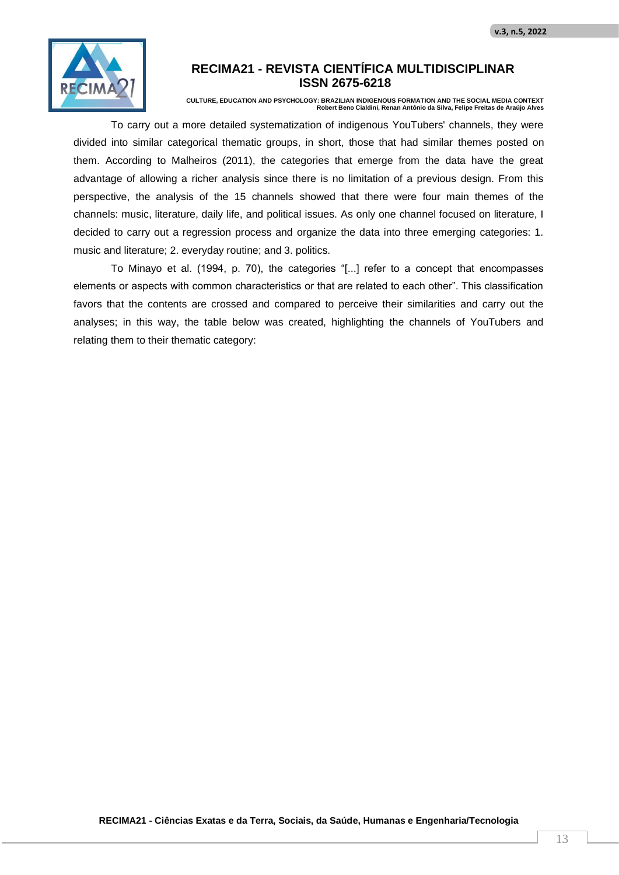

**CULTURE, EDUCATION AND PSYCHOLOGY: BRAZILIAN INDIGENOUS FORMATION AND THE SOCIAL MEDIA CONTEXT Robert Beno Cialdini, Renan Antônio da Silva, Felipe Freitas de Araújo Alves**

To carry out a more detailed systematization of indigenous YouTubers' channels, they were divided into similar categorical thematic groups, in short, those that had similar themes posted on them. According to Malheiros (2011), the categories that emerge from the data have the great advantage of allowing a richer analysis since there is no limitation of a previous design. From this perspective, the analysis of the 15 channels showed that there were four main themes of the channels: music, literature, daily life, and political issues. As only one channel focused on literature, I decided to carry out a regression process and organize the data into three emerging categories: 1. music and literature; 2. everyday routine; and 3. politics.

To Minayo et al. (1994, p. 70), the categories "[...] refer to a concept that encompasses elements or aspects with common characteristics or that are related to each other". This classification favors that the contents are crossed and compared to perceive their similarities and carry out the analyses; in this way, the table below was created, highlighting the channels of YouTubers and relating them to their thematic category: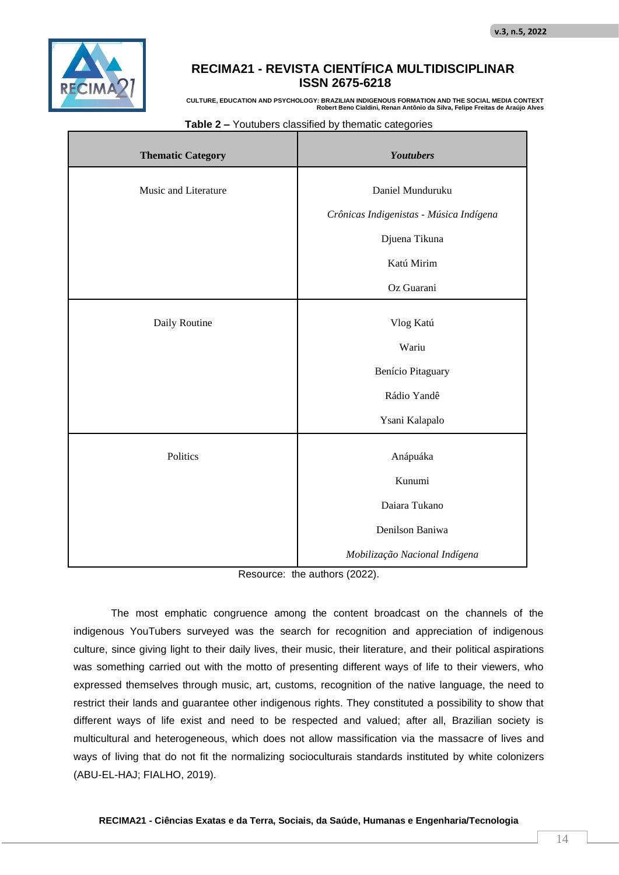

**CULTURE, EDUCATION AND PSYCHOLOGY: BRAZILIAN INDIGENOUS FORMATION AND THE SOCIAL MEDIA CONTEXT Robert Beno Cialdini, Renan Antônio da Silva, Felipe Freitas de Araújo Alves**

| <b>Thematic Category</b> | <b>Youtubers</b>                        |
|--------------------------|-----------------------------------------|
| Music and Literature     | Daniel Munduruku                        |
|                          | Crônicas Indigenistas - Música Indígena |
|                          | Djuena Tikuna                           |
|                          | Katú Mirim                              |
|                          | Oz Guarani                              |
| Daily Routine            | Vlog Katú                               |
|                          | Wariu                                   |
|                          | Benício Pitaguary                       |
|                          | Rádio Yandê                             |
|                          | Ysani Kalapalo                          |
| Politics                 | Anápuáka                                |
|                          | Kunumi                                  |
|                          | Daiara Tukano                           |
|                          | Denilson Baniwa                         |
|                          | Mobilização Nacional Indígena           |

#### **Table 2 –** Youtubers classified by thematic categories

Resource: the authors (2022).

The most emphatic congruence among the content broadcast on the channels of the indigenous YouTubers surveyed was the search for recognition and appreciation of indigenous culture, since giving light to their daily lives, their music, their literature, and their political aspirations was something carried out with the motto of presenting different ways of life to their viewers, who expressed themselves through music, art, customs, recognition of the native language, the need to restrict their lands and guarantee other indigenous rights. They constituted a possibility to show that different ways of life exist and need to be respected and valued; after all, Brazilian society is multicultural and heterogeneous, which does not allow massification via the massacre of lives and ways of living that do not fit the normalizing socioculturais standards instituted by white colonizers (ABU-EL-HAJ; FIALHO, 2019).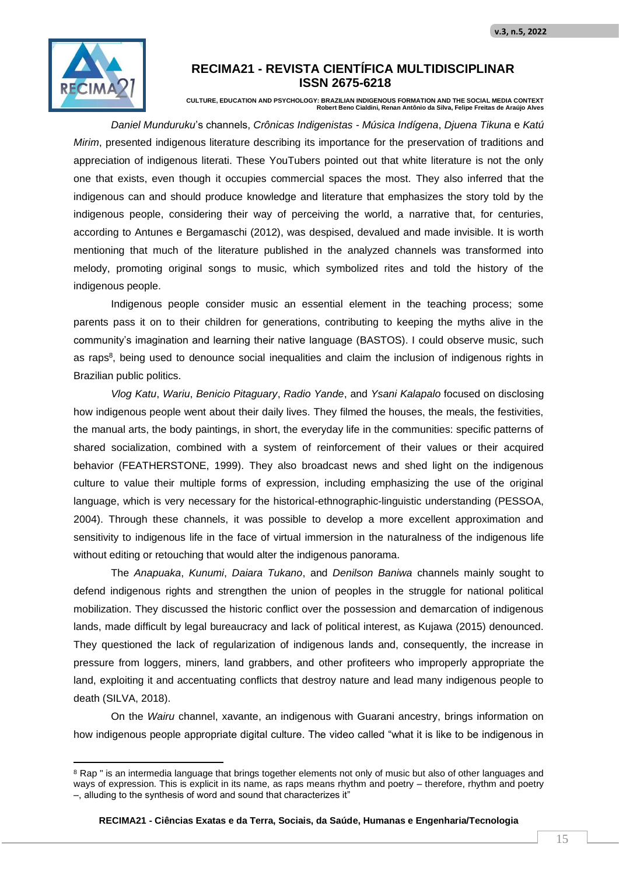

**CULTURE, EDUCATION AND PSYCHOLOGY: BRAZILIAN INDIGENOUS FORMATION AND THE SOCIAL MEDIA CONTEXT Robert Beno Cialdini, Renan Antônio da Silva, Felipe Freitas de Araújo Alves**

*Daniel Munduruku*'s channels, *Crônicas Indigenistas - Música Indígena*, *Djuena Tikuna* e *Katú Mirim*, presented indigenous literature describing its importance for the preservation of traditions and appreciation of indigenous literati. These YouTubers pointed out that white literature is not the only one that exists, even though it occupies commercial spaces the most. They also inferred that the indigenous can and should produce knowledge and literature that emphasizes the story told by the indigenous people, considering their way of perceiving the world, a narrative that, for centuries, according to Antunes e Bergamaschi (2012), was despised, devalued and made invisible. It is worth mentioning that much of the literature published in the analyzed channels was transformed into melody, promoting original songs to music, which symbolized rites and told the history of the indigenous people.

Indigenous people consider music an essential element in the teaching process; some parents pass it on to their children for generations, contributing to keeping the myths alive in the community's imagination and learning their native language (BASTOS). I could observe music, such as raps<sup>8</sup>, being used to denounce social inequalities and claim the inclusion of indigenous rights in Brazilian public politics.

*Vlog Katu*, *Wariu*, *Benicio Pitaguary*, *Radio Yande*, and *Ysani Kalapalo* focused on disclosing how indigenous people went about their daily lives. They filmed the houses, the meals, the festivities, the manual arts, the body paintings, in short, the everyday life in the communities: specific patterns of shared socialization, combined with a system of reinforcement of their values or their acquired behavior (FEATHERSTONE, 1999). They also broadcast news and shed light on the indigenous culture to value their multiple forms of expression, including emphasizing the use of the original language, which is very necessary for the historical-ethnographic-linguistic understanding (PESSOA, 2004). Through these channels, it was possible to develop a more excellent approximation and sensitivity to indigenous life in the face of virtual immersion in the naturalness of the indigenous life without editing or retouching that would alter the indigenous panorama.

The *Anapuaka*, *Kunumi*, *Daiara Tukano*, and *Denilson Baniwa* channels mainly sought to defend indigenous rights and strengthen the union of peoples in the struggle for national political mobilization. They discussed the historic conflict over the possession and demarcation of indigenous lands, made difficult by legal bureaucracy and lack of political interest, as Kujawa (2015) denounced. They questioned the lack of regularization of indigenous lands and, consequently, the increase in pressure from loggers, miners, land grabbers, and other profiteers who improperly appropriate the land, exploiting it and accentuating conflicts that destroy nature and lead many indigenous people to death (SILVA, 2018).

On the *Wairu* channel, xavante, an indigenous with Guarani ancestry, brings information on how indigenous people appropriate digital culture. The video called "what it is like to be indigenous in

<sup>&</sup>lt;sup>8</sup> Rap " is an intermedia language that brings together elements not only of music but also of other languages and ways of expression. This is explicit in its name, as raps means rhythm and poetry – therefore, rhythm and poetry –, alluding to the synthesis of word and sound that characterizes it"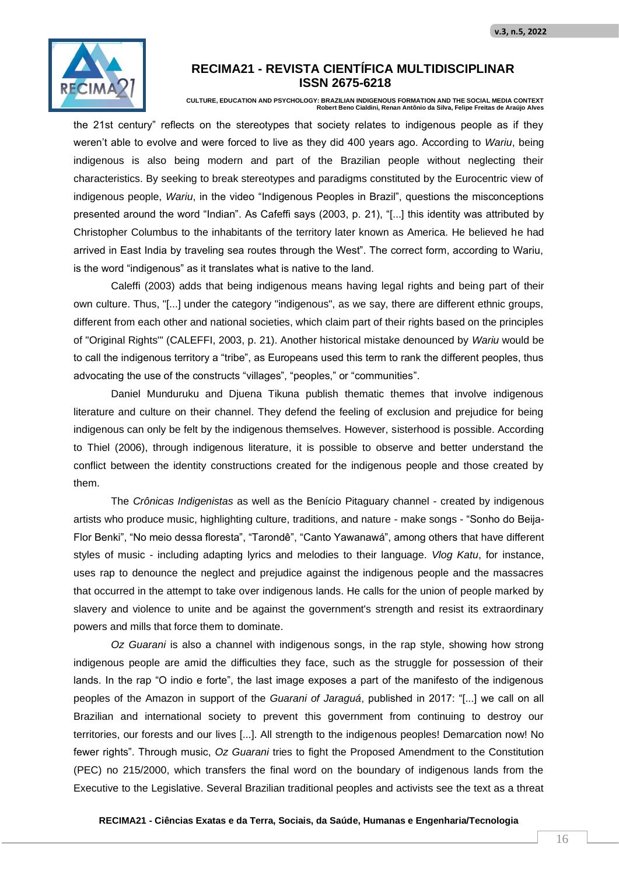

**CULTURE, EDUCATION AND PSYCHOLOGY: BRAZILIAN INDIGENOUS FORMATION AND THE SOCIAL MEDIA CONTEXT Robert Beno Cialdini, Renan Antônio da Silva, Felipe Freitas de Araújo Alves**

the 21st century" reflects on the stereotypes that society relates to indigenous people as if they weren't able to evolve and were forced to live as they did 400 years ago. According to *Wariu*, being indigenous is also being modern and part of the Brazilian people without neglecting their characteristics. By seeking to break stereotypes and paradigms constituted by the Eurocentric view of indigenous people, *Wariu*, in the video "Indigenous Peoples in Brazil", questions the misconceptions presented around the word "Indian". As Cafeffi says (2003, p. 21), "[...] this identity was attributed by Christopher Columbus to the inhabitants of the territory later known as America. He believed he had arrived in East India by traveling sea routes through the West". The correct form, according to Wariu, is the word "indigenous" as it translates what is native to the land.

Caleffi (2003) adds that being indigenous means having legal rights and being part of their own culture. Thus, "[...] under the category "indigenous", as we say, there are different ethnic groups, different from each other and national societies, which claim part of their rights based on the principles of "Original Rights'" (CALEFFI, 2003, p. 21). Another historical mistake denounced by *Wariu* would be to call the indigenous territory a "tribe", as Europeans used this term to rank the different peoples, thus advocating the use of the constructs "villages", "peoples," or "communities".

Daniel Munduruku and Djuena Tikuna publish thematic themes that involve indigenous literature and culture on their channel. They defend the feeling of exclusion and prejudice for being indigenous can only be felt by the indigenous themselves. However, sisterhood is possible. According to Thiel (2006), through indigenous literature, it is possible to observe and better understand the conflict between the identity constructions created for the indigenous people and those created by them.

The *Crônicas Indigenistas* as well as the Benício Pitaguary channel - created by indigenous artists who produce music, highlighting culture, traditions, and nature - make songs - "Sonho do Beija-Flor Benki", "No meio dessa floresta", "Tarondê", "Canto Yawanawá", among others that have different styles of music - including adapting lyrics and melodies to their language. *Vlog Katu*, for instance, uses rap to denounce the neglect and prejudice against the indigenous people and the massacres that occurred in the attempt to take over indigenous lands. He calls for the union of people marked by slavery and violence to unite and be against the government's strength and resist its extraordinary powers and mills that force them to dominate.

*Oz Guarani* is also a channel with indigenous songs, in the rap style, showing how strong indigenous people are amid the difficulties they face, such as the struggle for possession of their lands. In the rap "O indio e forte", the last image exposes a part of the manifesto of the indigenous peoples of the Amazon in support of the *Guarani of Jaraguá*, published in 2017: "[...] we call on all Brazilian and international society to prevent this government from continuing to destroy our territories, our forests and our lives [...]. All strength to the indigenous peoples! Demarcation now! No fewer rights". Through music, *Oz Guarani* tries to fight the Proposed Amendment to the Constitution (PEC) no 215/2000, which transfers the final word on the boundary of indigenous lands from the Executive to the Legislative. Several Brazilian traditional peoples and activists see the text as a threat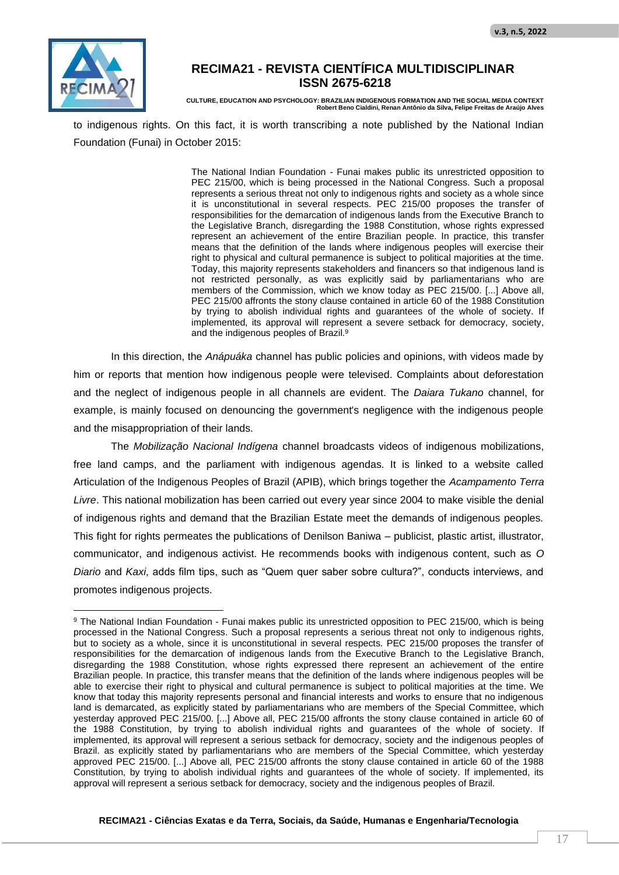

**CULTURE, EDUCATION AND PSYCHOLOGY: BRAZILIAN INDIGENOUS FORMATION AND THE SOCIAL MEDIA CONTEXT Robert Beno Cialdini, Renan Antônio da Silva, Felipe Freitas de Araújo Alves**

to indigenous rights. On this fact, it is worth transcribing a note published by the National Indian Foundation (Funai) in October 2015:

> The National Indian Foundation - Funai makes public its unrestricted opposition to PEC 215/00, which is being processed in the National Congress. Such a proposal represents a serious threat not only to indigenous rights and society as a whole since it is unconstitutional in several respects. PEC 215/00 proposes the transfer of responsibilities for the demarcation of indigenous lands from the Executive Branch to the Legislative Branch, disregarding the 1988 Constitution, whose rights expressed represent an achievement of the entire Brazilian people. In practice, this transfer means that the definition of the lands where indigenous peoples will exercise their right to physical and cultural permanence is subject to political majorities at the time. Today, this majority represents stakeholders and financers so that indigenous land is not restricted personally, as was explicitly said by parliamentarians who are members of the Commission, which we know today as PEC 215/00. [...] Above all, PEC 215/00 affronts the stony clause contained in article 60 of the 1988 Constitution by trying to abolish individual rights and guarantees of the whole of society. If implemented, its approval will represent a severe setback for democracy, society, and the indigenous peoples of Brazil.<sup>9</sup>

In this direction, the *Anápuáka* channel has public policies and opinions, with videos made by him or reports that mention how indigenous people were televised. Complaints about deforestation and the neglect of indigenous people in all channels are evident. The *Daiara Tukano* channel, for example, is mainly focused on denouncing the government's negligence with the indigenous people and the misappropriation of their lands.

The *Mobilização Nacional Indígena* channel broadcasts videos of indigenous mobilizations, free land camps, and the parliament with indigenous agendas. It is linked to a website called Articulation of the Indigenous Peoples of Brazil (APIB), which brings together the *Acampamento Terra Livre*. This national mobilization has been carried out every year since 2004 to make visible the denial of indigenous rights and demand that the Brazilian Estate meet the demands of indigenous peoples. This fight for rights permeates the publications of Denilson Baniwa – publicist, plastic artist, illustrator, communicator, and indigenous activist. He recommends books with indigenous content, such as *O Diario* and *Kaxi*, adds film tips, such as "Quem quer saber sobre cultura?", conducts interviews, and promotes indigenous projects.

<sup>9</sup> The National Indian Foundation - Funai makes public its unrestricted opposition to PEC 215/00, which is being processed in the National Congress. Such a proposal represents a serious threat not only to indigenous rights, but to society as a whole, since it is unconstitutional in several respects. PEC 215/00 proposes the transfer of responsibilities for the demarcation of indigenous lands from the Executive Branch to the Legislative Branch, disregarding the 1988 Constitution, whose rights expressed there represent an achievement of the entire Brazilian people. In practice, this transfer means that the definition of the lands where indigenous peoples will be able to exercise their right to physical and cultural permanence is subject to political majorities at the time. We know that today this majority represents personal and financial interests and works to ensure that no indigenous land is demarcated, as explicitly stated by parliamentarians who are members of the Special Committee, which yesterday approved PEC 215/00. [...] Above all, PEC 215/00 affronts the stony clause contained in article 60 of the 1988 Constitution, by trying to abolish individual rights and guarantees of the whole of society. If implemented, its approval will represent a serious setback for democracy, society and the indigenous peoples of Brazil. as explicitly stated by parliamentarians who are members of the Special Committee, which yesterday approved PEC 215/00. [...] Above all, PEC 215/00 affronts the stony clause contained in article 60 of the 1988 Constitution, by trying to abolish individual rights and guarantees of the whole of society. If implemented, its approval will represent a serious setback for democracy, society and the indigenous peoples of Brazil.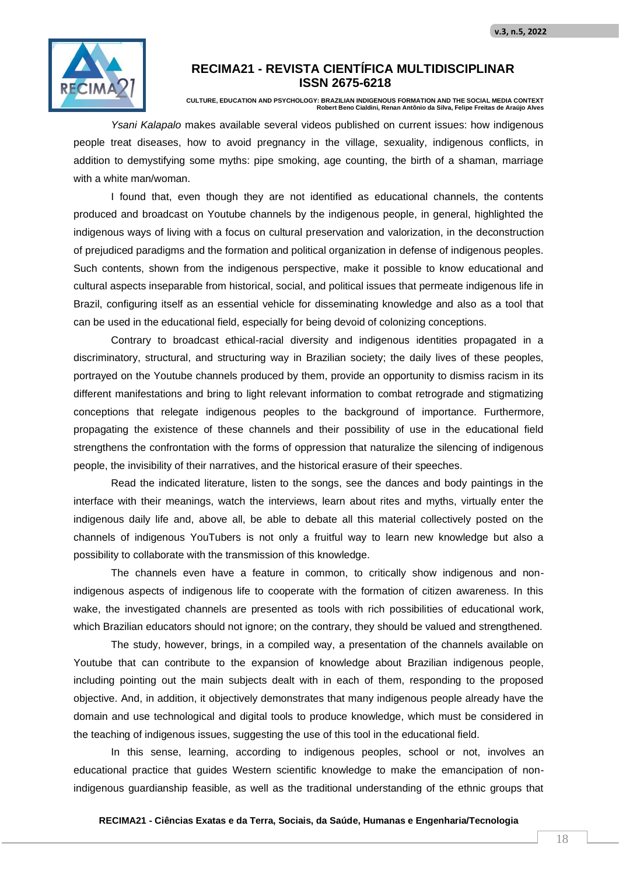

**CULTURE, EDUCATION AND PSYCHOLOGY: BRAZILIAN INDIGENOUS FORMATION AND THE SOCIAL MEDIA CONTEXT Robert Beno Cialdini, Renan Antônio da Silva, Felipe Freitas de Araújo Alves**

*Ysani Kalapalo* makes available several videos published on current issues: how indigenous people treat diseases, how to avoid pregnancy in the village, sexuality, indigenous conflicts, in addition to demystifying some myths: pipe smoking, age counting, the birth of a shaman, marriage with a white man/woman.

I found that, even though they are not identified as educational channels, the contents produced and broadcast on Youtube channels by the indigenous people, in general, highlighted the indigenous ways of living with a focus on cultural preservation and valorization, in the deconstruction of prejudiced paradigms and the formation and political organization in defense of indigenous peoples. Such contents, shown from the indigenous perspective, make it possible to know educational and cultural aspects inseparable from historical, social, and political issues that permeate indigenous life in Brazil, configuring itself as an essential vehicle for disseminating knowledge and also as a tool that can be used in the educational field, especially for being devoid of colonizing conceptions.

Contrary to broadcast ethical-racial diversity and indigenous identities propagated in a discriminatory, structural, and structuring way in Brazilian society; the daily lives of these peoples, portrayed on the Youtube channels produced by them, provide an opportunity to dismiss racism in its different manifestations and bring to light relevant information to combat retrograde and stigmatizing conceptions that relegate indigenous peoples to the background of importance. Furthermore, propagating the existence of these channels and their possibility of use in the educational field strengthens the confrontation with the forms of oppression that naturalize the silencing of indigenous people, the invisibility of their narratives, and the historical erasure of their speeches.

Read the indicated literature, listen to the songs, see the dances and body paintings in the interface with their meanings, watch the interviews, learn about rites and myths, virtually enter the indigenous daily life and, above all, be able to debate all this material collectively posted on the channels of indigenous YouTubers is not only a fruitful way to learn new knowledge but also a possibility to collaborate with the transmission of this knowledge.

The channels even have a feature in common, to critically show indigenous and nonindigenous aspects of indigenous life to cooperate with the formation of citizen awareness. In this wake, the investigated channels are presented as tools with rich possibilities of educational work, which Brazilian educators should not ignore; on the contrary, they should be valued and strengthened.

The study, however, brings, in a compiled way, a presentation of the channels available on Youtube that can contribute to the expansion of knowledge about Brazilian indigenous people, including pointing out the main subjects dealt with in each of them, responding to the proposed objective. And, in addition, it objectively demonstrates that many indigenous people already have the domain and use technological and digital tools to produce knowledge, which must be considered in the teaching of indigenous issues, suggesting the use of this tool in the educational field.

In this sense, learning, according to indigenous peoples, school or not, involves an educational practice that guides Western scientific knowledge to make the emancipation of nonindigenous guardianship feasible, as well as the traditional understanding of the ethnic groups that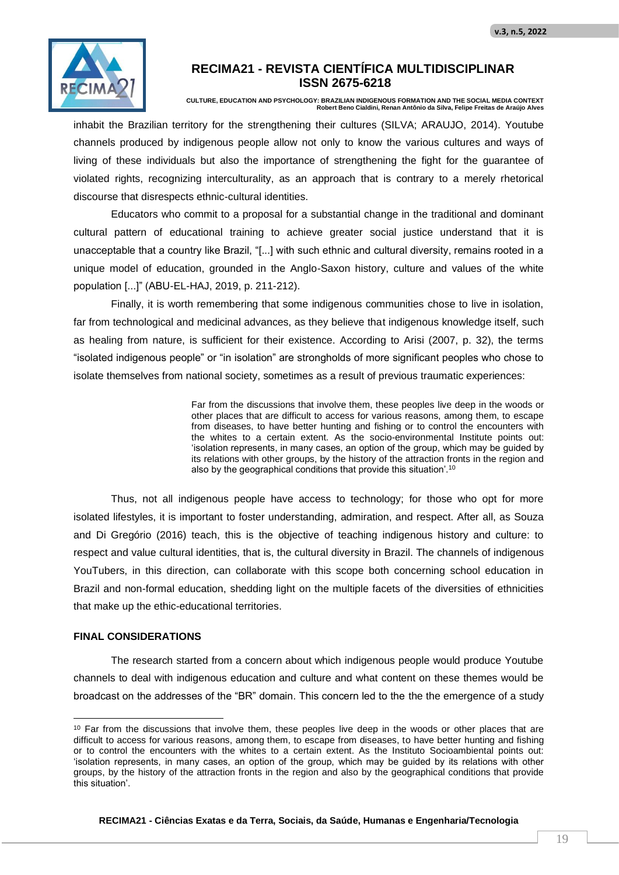

**CULTURE, EDUCATION AND PSYCHOLOGY: BRAZILIAN INDIGENOUS FORMATION AND THE SOCIAL MEDIA CONTEXT Robert Beno Cialdini, Renan Antônio da Silva, Felipe Freitas de Araújo Alves**

inhabit the Brazilian territory for the strengthening their cultures (SILVA; ARAUJO, 2014). Youtube channels produced by indigenous people allow not only to know the various cultures and ways of living of these individuals but also the importance of strengthening the fight for the guarantee of violated rights, recognizing interculturality, as an approach that is contrary to a merely rhetorical discourse that disrespects ethnic-cultural identities.

Educators who commit to a proposal for a substantial change in the traditional and dominant cultural pattern of educational training to achieve greater social justice understand that it is unacceptable that a country like Brazil, "[...] with such ethnic and cultural diversity, remains rooted in a unique model of education, grounded in the Anglo-Saxon history, culture and values of the white population [...]" (ABU-EL-HAJ, 2019, p. 211-212).

Finally, it is worth remembering that some indigenous communities chose to live in isolation, far from technological and medicinal advances, as they believe that indigenous knowledge itself, such as healing from nature, is sufficient for their existence. According to Arisi (2007, p. 32), the terms "isolated indigenous people" or "in isolation" are strongholds of more significant peoples who chose to isolate themselves from national society, sometimes as a result of previous traumatic experiences:

> Far from the discussions that involve them, these peoples live deep in the woods or other places that are difficult to access for various reasons, among them, to escape from diseases, to have better hunting and fishing or to control the encounters with the whites to a certain extent. As the socio-environmental Institute points out: 'isolation represents, in many cases, an option of the group, which may be guided by its relations with other groups, by the history of the attraction fronts in the region and also by the geographical conditions that provide this situation'.<sup>10</sup>

Thus, not all indigenous people have access to technology; for those who opt for more isolated lifestyles, it is important to foster understanding, admiration, and respect. After all, as Souza and Di Gregório (2016) teach, this is the objective of teaching indigenous history and culture: to respect and value cultural identities, that is, the cultural diversity in Brazil. The channels of indigenous YouTubers, in this direction, can collaborate with this scope both concerning school education in Brazil and non-formal education, shedding light on the multiple facets of the diversities of ethnicities that make up the ethic-educational territories.

#### **FINAL CONSIDERATIONS**

The research started from a concern about which indigenous people would produce Youtube channels to deal with indigenous education and culture and what content on these themes would be broadcast on the addresses of the "BR" domain. This concern led to the the the emergence of a study

<sup>&</sup>lt;sup>10</sup> Far from the discussions that involve them, these peoples live deep in the woods or other places that are difficult to access for various reasons, among them, to escape from diseases, to have better hunting and fishing or to control the encounters with the whites to a certain extent. As the Instituto Socioambiental points out: 'isolation represents, in many cases, an option of the group, which may be guided by its relations with other groups, by the history of the attraction fronts in the region and also by the geographical conditions that provide this situation'.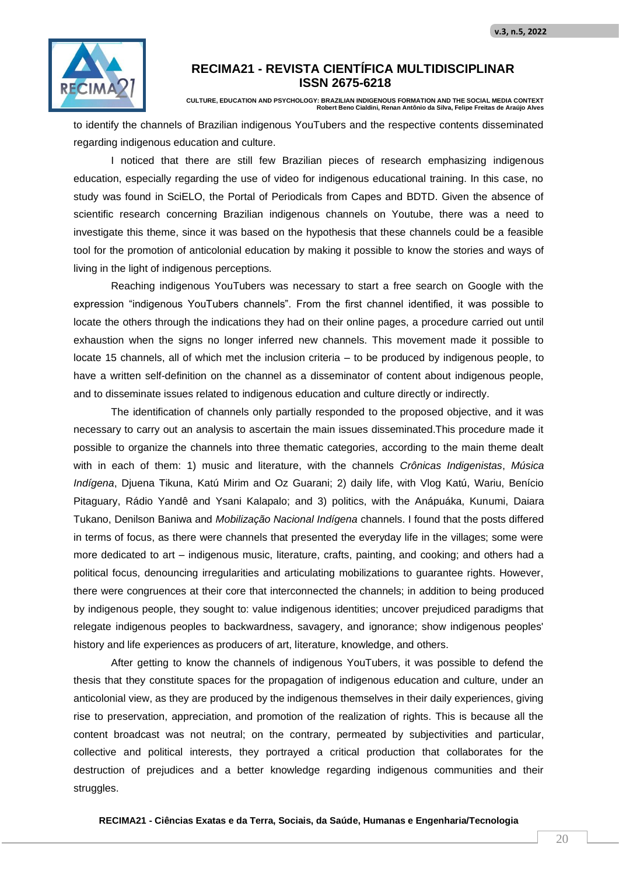

**CULTURE, EDUCATION AND PSYCHOLOGY: BRAZILIAN INDIGENOUS FORMATION AND THE SOCIAL MEDIA CONTEXT Robert Beno Cialdini, Renan Antônio da Silva, Felipe Freitas de Araújo Alves**

to identify the channels of Brazilian indigenous YouTubers and the respective contents disseminated regarding indigenous education and culture.

I noticed that there are still few Brazilian pieces of research emphasizing indigenous education, especially regarding the use of video for indigenous educational training. In this case, no study was found in SciELO, the Portal of Periodicals from Capes and BDTD. Given the absence of scientific research concerning Brazilian indigenous channels on Youtube, there was a need to investigate this theme, since it was based on the hypothesis that these channels could be a feasible tool for the promotion of anticolonial education by making it possible to know the stories and ways of living in the light of indigenous perceptions.

Reaching indigenous YouTubers was necessary to start a free search on Google with the expression "indigenous YouTubers channels". From the first channel identified, it was possible to locate the others through the indications they had on their online pages, a procedure carried out until exhaustion when the signs no longer inferred new channels. This movement made it possible to locate 15 channels, all of which met the inclusion criteria – to be produced by indigenous people, to have a written self-definition on the channel as a disseminator of content about indigenous people, and to disseminate issues related to indigenous education and culture directly or indirectly.

The identification of channels only partially responded to the proposed objective, and it was necessary to carry out an analysis to ascertain the main issues disseminated.This procedure made it possible to organize the channels into three thematic categories, according to the main theme dealt with in each of them: 1) music and literature, with the channels *Crônicas Indigenistas*, *Música Indígena*, Djuena Tikuna, Katú Mirim and Oz Guarani; 2) daily life, with Vlog Katú, Wariu, Benício Pitaguary, Rádio Yandê and Ysani Kalapalo; and 3) politics, with the Anápuáka, Kunumi, Daiara Tukano, Denilson Baniwa and *Mobilização Nacional Indígena* channels. I found that the posts differed in terms of focus, as there were channels that presented the everyday life in the villages; some were more dedicated to art – indigenous music, literature, crafts, painting, and cooking; and others had a political focus, denouncing irregularities and articulating mobilizations to guarantee rights. However, there were congruences at their core that interconnected the channels; in addition to being produced by indigenous people, they sought to: value indigenous identities; uncover prejudiced paradigms that relegate indigenous peoples to backwardness, savagery, and ignorance; show indigenous peoples' history and life experiences as producers of art, literature, knowledge, and others.

After getting to know the channels of indigenous YouTubers, it was possible to defend the thesis that they constitute spaces for the propagation of indigenous education and culture, under an anticolonial view, as they are produced by the indigenous themselves in their daily experiences, giving rise to preservation, appreciation, and promotion of the realization of rights. This is because all the content broadcast was not neutral; on the contrary, permeated by subjectivities and particular, collective and political interests, they portrayed a critical production that collaborates for the destruction of prejudices and a better knowledge regarding indigenous communities and their struggles.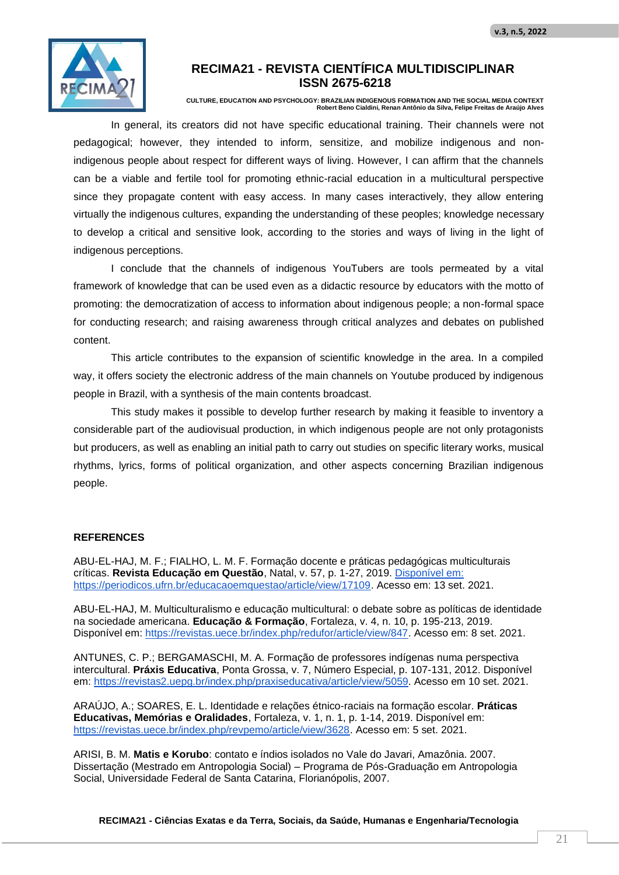

**CULTURE, EDUCATION AND PSYCHOLOGY: BRAZILIAN INDIGENOUS FORMATION AND THE SOCIAL MEDIA CONTEXT Robert Beno Cialdini, Renan Antônio da Silva, Felipe Freitas de Araújo Alves**

In general, its creators did not have specific educational training. Their channels were not pedagogical; however, they intended to inform, sensitize, and mobilize indigenous and nonindigenous people about respect for different ways of living. However, I can affirm that the channels can be a viable and fertile tool for promoting ethnic-racial education in a multicultural perspective since they propagate content with easy access. In many cases interactively, they allow entering virtually the indigenous cultures, expanding the understanding of these peoples; knowledge necessary to develop a critical and sensitive look, according to the stories and ways of living in the light of indigenous perceptions.

I conclude that the channels of indigenous YouTubers are tools permeated by a vital framework of knowledge that can be used even as a didactic resource by educators with the motto of promoting: the democratization of access to information about indigenous people; a non-formal space for conducting research; and raising awareness through critical analyzes and debates on published content.

This article contributes to the expansion of scientific knowledge in the area. In a compiled way, it offers society the electronic address of the main channels on Youtube produced by indigenous people in Brazil, with a synthesis of the main contents broadcast.

This study makes it possible to develop further research by making it feasible to inventory a considerable part of the audiovisual production, in which indigenous people are not only protagonists but producers, as well as enabling an initial path to carry out studies on specific literary works, musical rhythms, lyrics, forms of political organization, and other aspects concerning Brazilian indigenous people.

#### **REFERENCES**

ABU-EL-HAJ, M. F.; FIALHO, L. M. F. Formação docente e práticas pedagógicas multiculturais críticas. **Revista Educação em Questão**, Natal, v. 57, p. 1-27, 2019. Disponível em: https://periodicos.ufrn.br/educacaoemquestao/article/view/17109. Acesso em: 13 set. 2021.

ABU-EL-HAJ, M. Multiculturalismo e educação multicultural: o debate sobre as políticas de identidade na sociedade americana. **Educação & Formação**, Fortaleza, v. 4, n. 10, p. 195-213, 2019. Disponível em: https://revistas.uece.br/index.php/redufor/article/view/847. Acesso em: 8 set. 2021.

ANTUNES, C. P.; BERGAMASCHI, M. A. Formação de professores indígenas numa perspectiva intercultural. **Práxis Educativa**, Ponta Grossa, v. 7, Número Especial, p. 107-131, 2012. Disponível em: https://revistas2.uepg.br/index.php/praxiseducativa/article/view/5059. Acesso em 10 set. 2021.

ARAÚJO, A.; SOARES, E. L. Identidade e relações étnico-raciais na formação escolar. **Práticas Educativas, Memórias e Oralidades**, Fortaleza, v. 1, n. 1, p. 1-14, 2019. Disponível em: https://revistas.uece.br/index.php/revpemo/article/view/3628. Acesso em: 5 set. 2021.

ARISI, B. M. **Matis e Korubo**: contato e índios isolados no Vale do Javari, Amazônia. 2007. Dissertação (Mestrado em Antropologia Social) – Programa de Pós-Graduação em Antropologia Social, Universidade Federal de Santa Catarina, Florianópolis, 2007.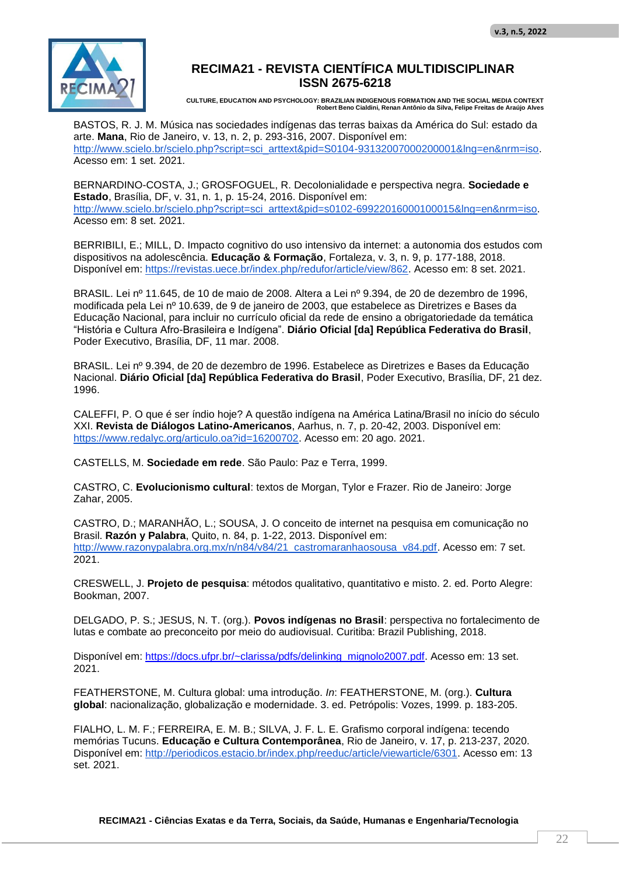

**CULTURE, EDUCATION AND PSYCHOLOGY: BRAZILIAN INDIGENOUS FORMATION AND THE SOCIAL MEDIA CONTEXT Robert Beno Cialdini, Renan Antônio da Silva, Felipe Freitas de Araújo Alves**

BASTOS, R. J. M. Música nas sociedades indígenas das terras baixas da América do Sul: estado da arte. **Mana**, Rio de Janeiro, v. 13, n. 2, p. 293-316, 2007. Disponível em: http://www.scielo.br/scielo.php?script=sci\_arttext&pid=S0104-93132007000200001&lng=en&nrm=iso. Acesso em: 1 set. 2021.

BERNARDINO-COSTA, J.; GROSFOGUEL, R. Decolonialidade e perspectiva negra. **Sociedade e Estado**, Brasília, DF, v. 31, n. 1, p. 15-24, 2016. Disponível em: http://www.scielo.br/scielo.php?script=sci\_arttext&pid=s0102-69922016000100015&lng=en&nrm=iso. Acesso em: 8 set. 2021.

BERRIBILI, E.; MILL, D. Impacto cognitivo do uso intensivo da internet: a autonomia dos estudos com dispositivos na adolescência. **Educação & Formação**, Fortaleza, v. 3, n. 9, p. 177-188, 2018. Disponível em: https://revistas.uece.br/index.php/redufor/article/view/862. Acesso em: 8 set. 2021.

BRASIL. Lei nº 11.645, de 10 de maio de 2008. Altera a Lei nº 9.394, de 20 de dezembro de 1996, modificada pela Lei nº 10.639, de 9 de janeiro de 2003, que estabelece as Diretrizes e Bases da Educação Nacional, para incluir no currículo oficial da rede de ensino a obrigatoriedade da temática "História e Cultura Afro-Brasileira e Indígena". **Diário Oficial [da] República Federativa do Brasil**, Poder Executivo, Brasília, DF, 11 mar. 2008.

BRASIL. Lei nº 9.394, de 20 de dezembro de 1996. Estabelece as Diretrizes e Bases da Educação Nacional. **Diário Oficial [da] República Federativa do Brasil**, Poder Executivo, Brasília, DF, 21 dez. 1996.

CALEFFI, P. O que é ser índio hoje? A questão indígena na América Latina/Brasil no início do século XXI. **Revista de Diálogos Latino-Americanos**, Aarhus, n. 7, p. 20-42, 2003. Disponível em: https://www.redalyc.org/articulo.oa?id=16200702. Acesso em: 20 ago. 2021.

CASTELLS, M. **Sociedade em rede**. São Paulo: Paz e Terra, 1999.

CASTRO, C. **Evolucionismo cultural**: textos de Morgan, Tylor e Frazer. Rio de Janeiro: Jorge Zahar, 2005.

CASTRO, D.; MARANHÃO, L.; SOUSA, J. O conceito de internet na pesquisa em comunicação no Brasil. **Razón y Palabra**, Quito, n. 84, p. 1-22, 2013. Disponível em: http://www.razonypalabra.org.mx/n/n84/v84/21\_castromaranhaosousa\_v84.pdf. Acesso em: 7 set. 2021.

CRESWELL, J. **Projeto de pesquisa**: métodos qualitativo, quantitativo e misto. 2. ed. Porto Alegre: Bookman, 2007.

DELGADO, P. S.; JESUS, N. T. (org.). **Povos indígenas no Brasil**: perspectiva no fortalecimento de lutas e combate ao preconceito por meio do audiovisual. Curitiba: Brazil Publishing, 2018.

Disponível em: https://docs.ufpr.br/~clarissa/pdfs/delinking\_mignolo2007.pdf. Acesso em: 13 set. 2021.

FEATHERSTONE, M. Cultura global: uma introdução. *In*: FEATHERSTONE, M. (org.). **Cultura global**: nacionalização, globalização e modernidade. 3. ed. Petrópolis: Vozes, 1999. p. 183-205.

FIALHO, L. M. F.; FERREIRA, E. M. B.; SILVA, J. F. L. E. Grafismo corporal indígena: tecendo memórias Tucuns. **Educação e Cultura Contemporânea**, Rio de Janeiro, v. 17, p. 213-237, 2020. Disponível em: http://periodicos.estacio.br/index.php/reeduc/article/viewarticle/6301. Acesso em: 13 set. 2021.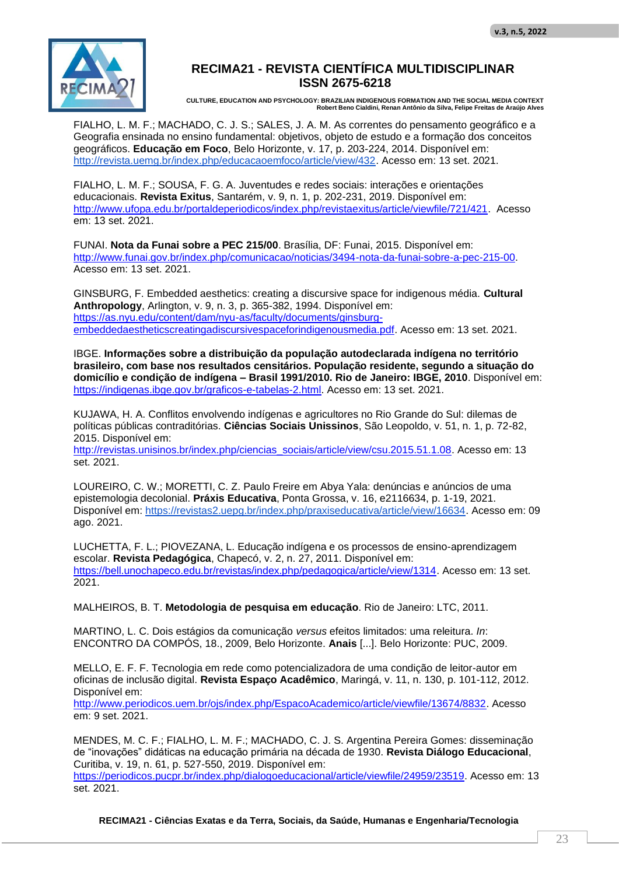

**CULTURE, EDUCATION AND PSYCHOLOGY: BRAZILIAN INDIGENOUS FORMATION AND THE SOCIAL MEDIA CONTEXT Robert Beno Cialdini, Renan Antônio da Silva, Felipe Freitas de Araújo Alves**

FIALHO, L. M. F.; MACHADO, C. J. S.; SALES, J. A. M. As correntes do pensamento geográfico e a Geografia ensinada no ensino fundamental: objetivos, objeto de estudo e a formação dos conceitos geográficos. **Educação em Foco**, Belo Horizonte, v. 17, p. 203-224, 2014. Disponível em: http://revista.uemg.br/index.php/educacaoemfoco/article/view/432. Acesso em: 13 set. 2021.

FIALHO, L. M. F.; SOUSA, F. G. A. Juventudes e redes sociais: interações e orientações educacionais. **Revista Exitus**, Santarém, v. 9, n. 1, p. 202-231, 2019. Disponível em: http://www.ufopa.edu.br/portaldeperiodicos/index.php/revistaexitus/article/viewfile/721/421. Acesso em: 13 set. 2021.

FUNAI. **Nota da Funai sobre a PEC 215/00**. Brasília, DF: Funai, 2015. Disponível em: http://www.funai.gov.br/index.php/comunicacao/noticias/3494-nota-da-funai-sobre-a-pec-215-00. Acesso em: 13 set. 2021.

GINSBURG, F. Embedded aesthetics: creating a discursive space for indigenous média. **Cultural Anthropology**, Arlington, v. 9, n. 3, p. 365-382, 1994. Disponível em: https://as.nyu.edu/content/dam/nyu-as/faculty/documents/ginsburgembeddedaestheticscreatingadiscursivespaceforindigenousmedia.pdf. Acesso em: 13 set. 2021.

IBGE. **Informações sobre a distribuição da população autodeclarada indígena no território brasileiro, com base nos resultados censitários. População residente, segundo a situação do domicílio e condição de indígena – Brasil 1991/2010. Rio de Janeiro: IBGE, 2010**. Disponível em: https://indigenas.ibge.gov.br/graficos-e-tabelas-2.html. Acesso em: 13 set. 2021.

KUJAWA, H. A. Conflitos envolvendo indígenas e agricultores no Rio Grande do Sul: dilemas de políticas públicas contraditórias. **Ciências Sociais Unissinos**, São Leopoldo, v. 51, n. 1, p. 72-82, 2015. Disponível em:

http://revistas.unisinos.br/index.php/ciencias\_sociais/article/view/csu.2015.51.1.08. Acesso em: 13 set. 2021.

LOUREIRO, C. W.; MORETTI, C. Z. Paulo Freire em Abya Yala: denúncias e anúncios de uma epistemologia decolonial. **Práxis Educativa**, Ponta Grossa, v. 16, e2116634, p. 1-19, 2021. Disponível em: https://revistas2.uepg.br/index.php/praxiseducativa/article/view/16634. Acesso em: 09 ago. 2021.

LUCHETTA, F. L.; PIOVEZANA, L. Educação indígena e os processos de ensino-aprendizagem escolar. **Revista Pedagógica**, Chapecó, v. 2, n. 27, 2011. Disponível em: https://bell.unochapeco.edu.br/revistas/index.php/pedagogica/article/view/1314. Acesso em: 13 set. 2021.

MALHEIROS, B. T. **Metodologia de pesquisa em educação**. Rio de Janeiro: LTC, 2011.

MARTINO, L. C. Dois estágios da comunicação *versus* efeitos limitados: uma releitura. *In*: ENCONTRO DA COMPÓS, 18., 2009, Belo Horizonte. **Anais** [...]. Belo Horizonte: PUC, 2009.

MELLO, E. F. F. Tecnologia em rede como potencializadora de uma condição de leitor-autor em oficinas de inclusão digital. **Revista Espaço Acadêmico**, Maringá, v. 11, n. 130, p. 101-112, 2012. Disponível em:

http://www.periodicos.uem.br/ojs/index.php/EspacoAcademico/article/viewfile/13674/8832. Acesso em: 9 set. 2021.

MENDES, M. C. F.; FIALHO, L. M. F.; MACHADO, C. J. S. Argentina Pereira Gomes: disseminação de "inovações" didáticas na educação primária na década de 1930. **Revista Diálogo Educacional**, Curitiba, v. 19, n. 61, p. 527-550, 2019. Disponível em: https://periodicos.pucpr.br/index.php/dialogoeducacional/article/viewfile/24959/23519. Acesso em: 13 set. 2021.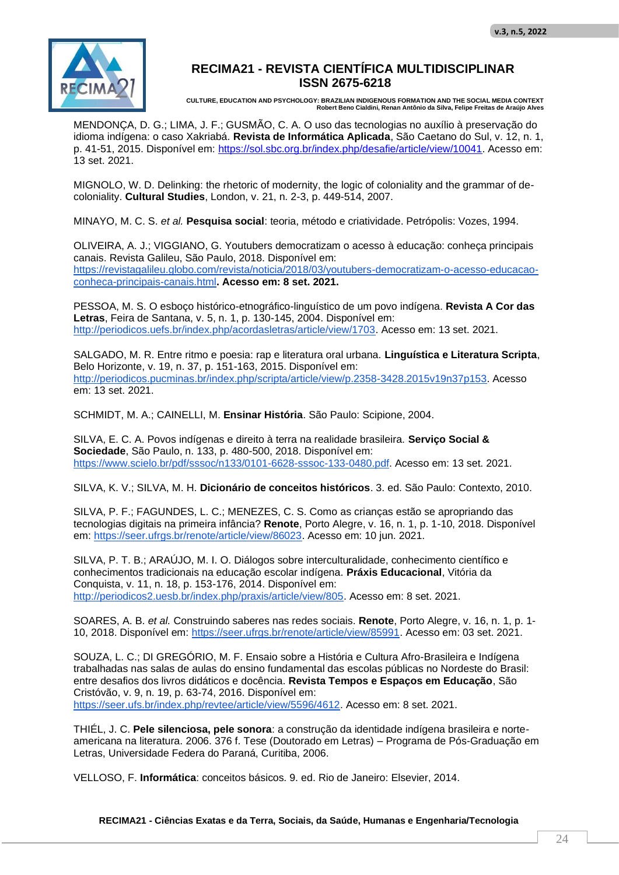

**CULTURE, EDUCATION AND PSYCHOLOGY: BRAZILIAN INDIGENOUS FORMATION AND THE SOCIAL MEDIA CONTEXT Robert Beno Cialdini, Renan Antônio da Silva, Felipe Freitas de Araújo Alves**

MENDONÇA, D. G.; LIMA, J. F.; GUSMÃO, C. A. O uso das tecnologias no auxílio à preservação do idioma indígena: o caso Xakriabá. **Revista de Informática Aplicada**, São Caetano do Sul, v. 12, n. 1, p. 41-51, 2015. Disponível em: https://sol.sbc.org.br/index.php/desafie/article/view/10041. Acesso em: 13 set. 2021.

MIGNOLO, W. D. Delinking: the rhetoric of modernity, the logic of coloniality and the grammar of decoloniality. **Cultural Studies**, London, v. 21, n. 2-3, p. 449-514, 2007.

MINAYO, M. C. S. *et al.* **Pesquisa social**: teoria, método e criatividade. Petrópolis: Vozes, 1994.

OLIVEIRA, A. J.; VIGGIANO, G. Youtubers democratizam o acesso à educação: conheça principais canais. Revista Galileu, São Paulo, 2018. Disponível em: https://revistagalileu.globo.com/revista/noticia/2018/03/youtubers-democratizam-o-acesso-educacaoconheca-principais-canais.html**. Acesso em: 8 set. 2021.**

PESSOA, M. S. O esboço histórico-etnográfico-linguístico de um povo indígena. **Revista A Cor das Letras**, Feira de Santana, v. 5, n. 1, p. 130-145, 2004. Disponível em: http://periodicos.uefs.br/index.php/acordasletras/article/view/1703. Acesso em: 13 set. 2021.

SALGADO, M. R. Entre ritmo e poesia: rap e literatura oral urbana. **Linguística e Literatura Scripta**, Belo Horizonte, v. 19, n. 37, p. 151-163, 2015. Disponível em: http://periodicos.pucminas.br/index.php/scripta/article/view/p.2358-3428.2015v19n37p153. Acesso em: 13 set. 2021.

SCHMIDT, M. A.; CAINELLI, M. **Ensinar História**. São Paulo: Scipione, 2004.

SILVA, E. C. A. Povos indígenas e direito à terra na realidade brasileira. **Serviço Social & Sociedade**, São Paulo, n. 133, p. 480-500, 2018. Disponível em: https://www.scielo.br/pdf/sssoc/n133/0101-6628-sssoc-133-0480.pdf. Acesso em: 13 set. 2021.

SILVA, K. V.; SILVA, M. H. **Dicionário de conceitos históricos**. 3. ed. São Paulo: Contexto, 2010.

SILVA, P. F.; FAGUNDES, L. C.; MENEZES, C. S. Como as crianças estão se apropriando das tecnologias digitais na primeira infância? **Renote**, Porto Alegre, v. 16, n. 1, p. 1-10, 2018. Disponível em: https://seer.ufrgs.br/renote/article/view/86023. Acesso em: 10 jun. 2021.

SILVA, P. T. B.; ARAÚJO, M. I. O. Diálogos sobre interculturalidade, conhecimento científico e conhecimentos tradicionais na educação escolar indígena. **Práxis Educacional**, Vitória da Conquista, v. 11, n. 18, p. 153-176, 2014. Disponível em: http://periodicos2.uesb.br/index.php/praxis/article/view/805. Acesso em: 8 set. 2021.

SOARES, A. B. *et al.* Construindo saberes nas redes sociais. **Renote**, Porto Alegre, v. 16, n. 1, p. 1- 10, 2018. Disponível em: https://seer.ufrgs.br/renote/article/view/85991. Acesso em: 03 set. 2021.

SOUZA, L. C.; DI GREGÓRIO, M. F. Ensaio sobre a História e Cultura Afro-Brasileira e Indígena trabalhadas nas salas de aulas do ensino fundamental das escolas públicas no Nordeste do Brasil: entre desafios dos livros didáticos e docência. **Revista Tempos e Espaços em Educação**, São Cristóvão, v. 9, n. 19, p. 63-74, 2016. Disponível em: https://seer.ufs.br/index.php/revtee/article/view/5596/4612. Acesso em: 8 set. 2021.

THIÉL, J. C. **Pele silenciosa, pele sonora**: a construção da identidade indígena brasileira e norteamericana na literatura. 2006. 376 f. Tese (Doutorado em Letras) – Programa de Pós-Graduação em Letras, Universidade Federa do Paraná, Curitiba, 2006.

VELLOSO, F. **Informática**: conceitos básicos. 9. ed. Rio de Janeiro: Elsevier, 2014.